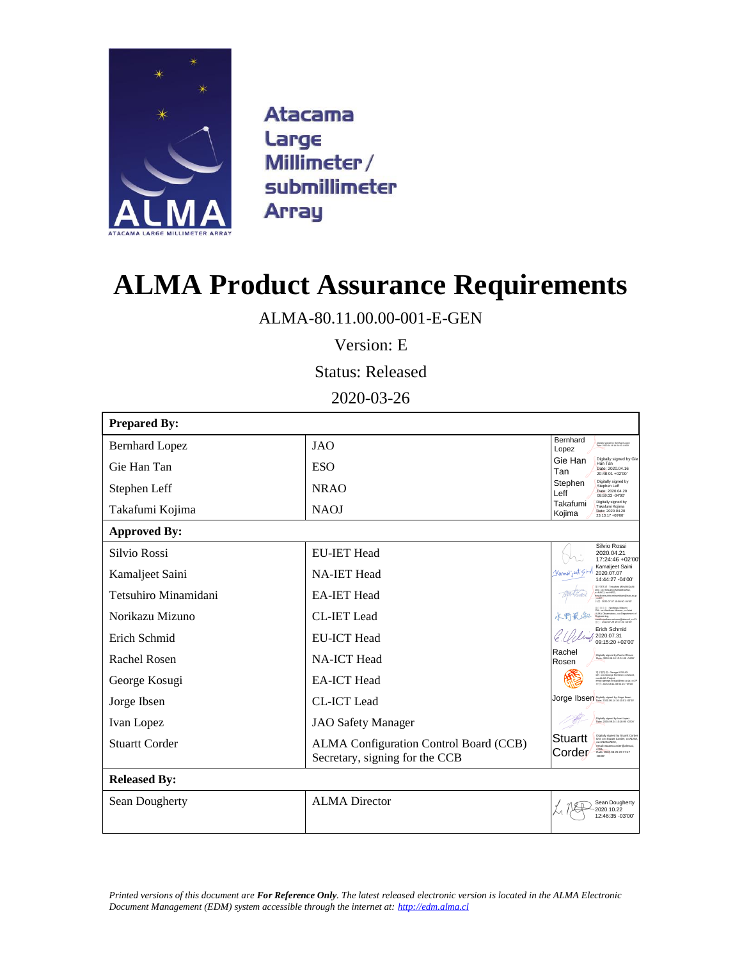

**Atacama** Large Millimeter/ submillimeter **Array** 

# **ALMA Product Assurance Requirements**

ALMA-80.11.00.00-001-E-GEN

Version: E

Status: Released

2020-03-26

| <b>Prepared By:</b>   |                                                                          |                                                                                                                                                                                         |
|-----------------------|--------------------------------------------------------------------------|-----------------------------------------------------------------------------------------------------------------------------------------------------------------------------------------|
| <b>Bernhard Lopez</b> | <b>JAO</b>                                                               | Bernhard<br>Distally signed by Bernhard Loose<br>Date: 2020 04:16 14:24:03 -04'00<br>Lopez                                                                                              |
| Gie Han Tan           | ESO                                                                      | Digitally signed by Gie<br>Gie Han<br>Han Tan<br>Date: 2020.04.16<br>Tan<br>20:48:01 +02'00"                                                                                            |
| Stephen Leff          | NRAO                                                                     | Digitally signed by<br>Stephen<br>Stephen Leff<br>Date: 2020.04.20<br>Leff<br>08:59:33 -04'00"                                                                                          |
| Takafumi Kojima       | <b>NAOJ</b>                                                              | Digitally signed by<br>Takafumi<br>Takafumi Kojima<br>Date: 2020.04.20<br>Kojima<br>23:13:17 +09'00"                                                                                    |
| <b>Approved By:</b>   |                                                                          |                                                                                                                                                                                         |
| Silvio Rossi          | <b>EU-IET Head</b>                                                       | Silvio Rossi<br>2020.04.21<br>17:24:46 +02'00                                                                                                                                           |
| Kamaljeet Saini       | <b>NA-IET Head</b>                                                       | Kamaljeet Saini<br>$K$ amal ject $\lessgtr$ im<br>2020.07.07<br>14:44:27 -04'00'                                                                                                        |
| Tetsuhiro Minamidani  | <b>EA-IET Head</b>                                                       | SEY SERVE : Tetsuhiro MINAMIDANI<br>DN: cn=Tetsuhiro MINAMIDANI.<br>NAOJ cu-NRO.<br>email-netsuhiro.minamidani@nao.ac<br>1142 - 2020 07:07:15:50:50 -0400                               |
| Norikazu Mizuno       | <b>CL-IET</b> Lead                                                       | : Norkazu Mizuno<br>CN : cn=Norikara Mizano, o=Joint<br>ALMA Cheanvalory, o=Department of<br>Engineering,<br>- : 2020.07.29 19:37:20 -04'00'<br>- : 2020.07.29 19:37:20 -04'00'         |
| Erich Schmid          | <b>EU-ICT Head</b>                                                       | Erich Schmid<br>2020.07.31<br>09:15:20 +02'00'                                                                                                                                          |
| Rachel Rosen          | <b>NA-ICT</b> Head                                                       | Rachel<br>Digitally signed by Rachel Rosen<br>Date: 2020.08.10 13:01:09 -04:00<br>Rosen                                                                                                 |
| George Kosugi         | <b>EA-ICT Head</b>                                                       | 평구경원경 : George KOSUGI<br>EN : cn=George KOSUGI, c=NACJ,<br>ca=ALMA Project,<br>amail=george kosugi (linac ac jp, c=JP<br>I1f) : 2020.08.11 08:54:15 =02:02                              |
| Jorge Ibsen           | <b>CL-ICT</b> Lead                                                       | Jorge Ibsen                                                                                                                                                                             |
| Ivan Lopez            | JAO Safety Manager                                                       | Digitally signed by Ivan Lopez<br>Dete: 2020.09.24.10-18-09.03300                                                                                                                       |
| <b>Stuartt Corder</b> | ALMA Configuration Control Board (CCB)<br>Secretary, signing for the CCB | Digitally signed by Stuartt Corder<br>DN: cnnStuartt Corder, onALMA<br>cunALMA/ADO,<br>Stuartt<br>email-striett conter@alma.c<br>c=CL<br>Date: 2020.09.29.22.17:47<br>-04:00"<br>Corder |
| <b>Released By:</b>   |                                                                          |                                                                                                                                                                                         |
| Sean Dougherty        | <b>ALMA</b> Director                                                     | Sean Dougherty<br>2020.10.22<br>12:46:35 -03'00'                                                                                                                                        |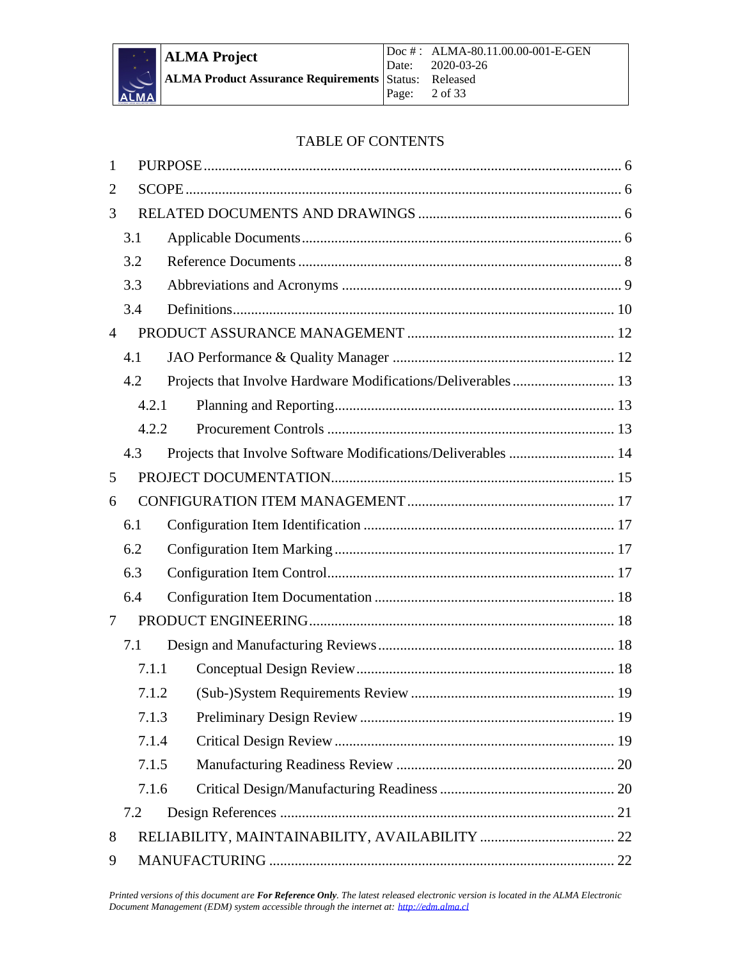

#### TABLE OF CONTENTS

| 1              |       |                                                               |  |
|----------------|-------|---------------------------------------------------------------|--|
| $\overline{2}$ |       |                                                               |  |
| 3              |       |                                                               |  |
|                | 3.1   |                                                               |  |
|                | 3.2   |                                                               |  |
|                | 3.3   |                                                               |  |
|                | 3.4   |                                                               |  |
| $\overline{4}$ |       |                                                               |  |
|                | 4.1   |                                                               |  |
|                | 4.2   |                                                               |  |
|                | 4.2.1 |                                                               |  |
|                | 4.2.2 |                                                               |  |
|                | 4.3   | Projects that Involve Software Modifications/Deliverables  14 |  |
| 5              |       |                                                               |  |
| 6              |       |                                                               |  |
|                | 6.1   |                                                               |  |
|                | 6.2   |                                                               |  |
|                | 6.3   |                                                               |  |
|                | 6.4   |                                                               |  |
| 7              |       |                                                               |  |
|                | 7.1   |                                                               |  |
|                | 7.1.1 |                                                               |  |
|                | 7.1.2 |                                                               |  |
|                | 7.1.3 |                                                               |  |
|                | 7.1.4 |                                                               |  |
|                | 7.1.5 |                                                               |  |
|                | 7.1.6 |                                                               |  |
|                | 7.2   |                                                               |  |
| 8              |       |                                                               |  |
| 9              |       |                                                               |  |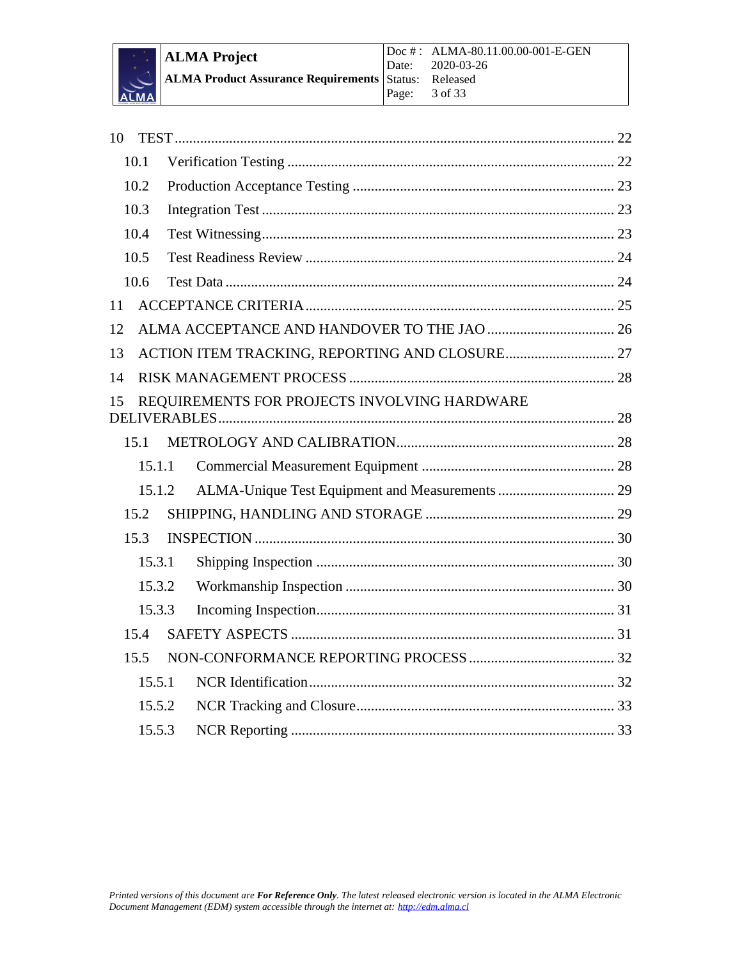

| 10 |        |                                              |  |
|----|--------|----------------------------------------------|--|
|    | 10.1   |                                              |  |
|    | 10.2   |                                              |  |
|    | 10.3   |                                              |  |
|    | 10.4   |                                              |  |
|    | 10.5   |                                              |  |
|    | 10.6   |                                              |  |
| 11 |        |                                              |  |
| 12 |        |                                              |  |
| 13 |        |                                              |  |
| 14 |        |                                              |  |
| 15 |        | REQUIREMENTS FOR PROJECTS INVOLVING HARDWARE |  |
|    | 15.1   |                                              |  |
|    | 15.1.1 |                                              |  |
|    | 15.1.2 |                                              |  |
|    | 15.2   |                                              |  |
|    | 15.3   |                                              |  |
|    | 15.3.1 |                                              |  |
|    | 15.3.2 |                                              |  |
|    | 15.3.3 |                                              |  |
|    | 15.4   |                                              |  |
|    | 15.5   |                                              |  |
|    | 15.5.1 |                                              |  |
|    | 15.5.2 |                                              |  |
|    | 15.5.3 |                                              |  |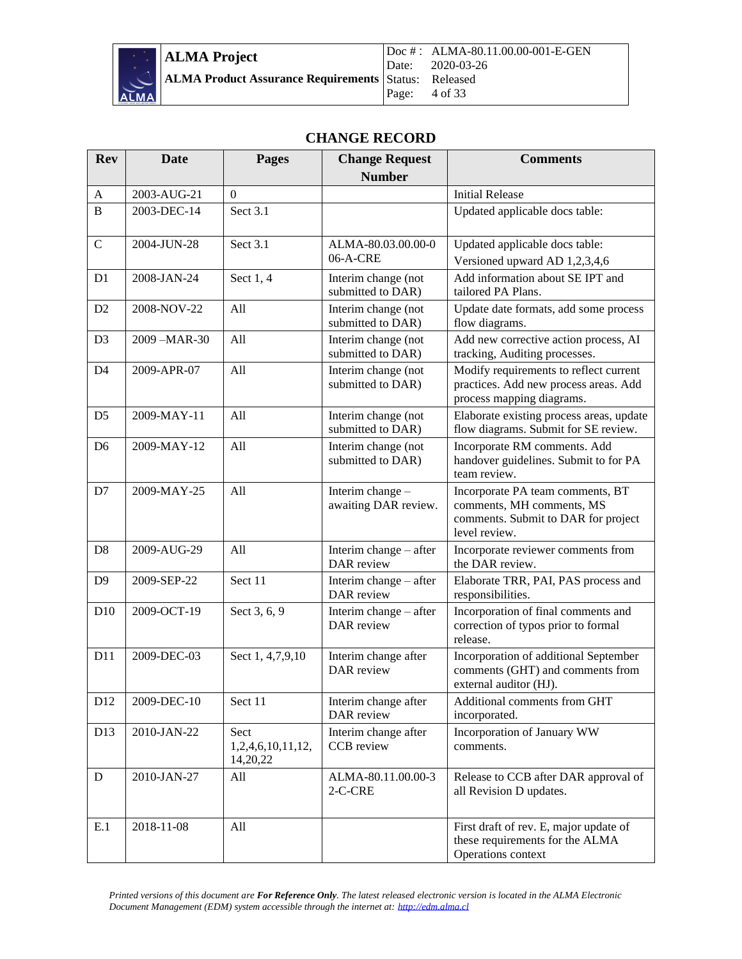

#### **CHANGE RECORD**

| <b>Rev</b>      | <b>Date</b> | <b>Pages</b>                          | <b>Change Request</b>                    | <b>Comments</b>                                                                                                       |
|-----------------|-------------|---------------------------------------|------------------------------------------|-----------------------------------------------------------------------------------------------------------------------|
|                 |             |                                       | <b>Number</b>                            |                                                                                                                       |
| $\mathbf{A}$    | 2003-AUG-21 | $\Omega$                              |                                          | <b>Initial Release</b>                                                                                                |
| $\overline{B}$  | 2003-DEC-14 | Sect 3.1                              |                                          | Updated applicable docs table:                                                                                        |
| $\mathbf C$     | 2004-JUN-28 | Sect 3.1                              | ALMA-80.03.00.00-0<br>06-A-CRE           | Updated applicable docs table:<br>Versioned upward AD 1,2,3,4,6                                                       |
| D <sub>1</sub>  | 2008-JAN-24 | Sect 1, 4                             | Interim change (not<br>submitted to DAR) | Add information about SE IPT and<br>tailored PA Plans.                                                                |
| D2              | 2008-NOV-22 | All                                   | Interim change (not<br>submitted to DAR) | Update date formats, add some process<br>flow diagrams.                                                               |
| D <sub>3</sub>  | 2009-MAR-30 | All                                   | Interim change (not<br>submitted to DAR) | Add new corrective action process, AI<br>tracking, Auditing processes.                                                |
| D <sub>4</sub>  | 2009-APR-07 | All                                   | Interim change (not<br>submitted to DAR) | Modify requirements to reflect current<br>practices. Add new process areas. Add<br>process mapping diagrams.          |
| D <sub>5</sub>  | 2009-MAY-11 | All                                   | Interim change (not<br>submitted to DAR) | Elaborate existing process areas, update<br>flow diagrams. Submit for SE review.                                      |
| D <sub>6</sub>  | 2009-MAY-12 | All                                   | Interim change (not<br>submitted to DAR) | Incorporate RM comments. Add<br>handover guidelines. Submit to for PA<br>team review.                                 |
| D7              | 2009-MAY-25 | All                                   | Interim change -<br>awaiting DAR review. | Incorporate PA team comments, BT<br>comments, MH comments, MS<br>comments. Submit to DAR for project<br>level review. |
| D <sub>8</sub>  | 2009-AUG-29 | All                                   | Interim change – after<br>DAR review     | Incorporate reviewer comments from<br>the DAR review.                                                                 |
| D <sub>9</sub>  | 2009-SEP-22 | Sect 11                               | Interim change $-$ after<br>DAR review   | Elaborate TRR, PAI, PAS process and<br>responsibilities.                                                              |
| D10             | 2009-OCT-19 | Sect 3, 6, 9                          | Interim change – after<br>DAR review     | Incorporation of final comments and<br>correction of typos prior to formal<br>release.                                |
| D11             | 2009-DEC-03 | Sect 1, 4,7,9,10                      | Interim change after<br>DAR review       | Incorporation of additional September<br>comments (GHT) and comments from<br>external auditor (HJ).                   |
| D12             | 2009-DEC-10 | Sect 11                               | Interim change after<br>DAR review       | Additional comments from GHT<br>incorporated.                                                                         |
| D <sub>13</sub> | 2010-JAN-22 | Sect<br>1,2,4,6,10,11,12,<br>14,20,22 | Interim change after<br>CCB review       | Incorporation of January WW<br>comments.                                                                              |
| ${\bf D}$       | 2010-JAN-27 | All                                   | ALMA-80.11.00.00-3<br>2-C-CRE            | Release to CCB after DAR approval of<br>all Revision D updates.                                                       |
| E.1             | 2018-11-08  | All                                   |                                          | First draft of rev. E, major update of<br>these requirements for the ALMA<br>Operations context                       |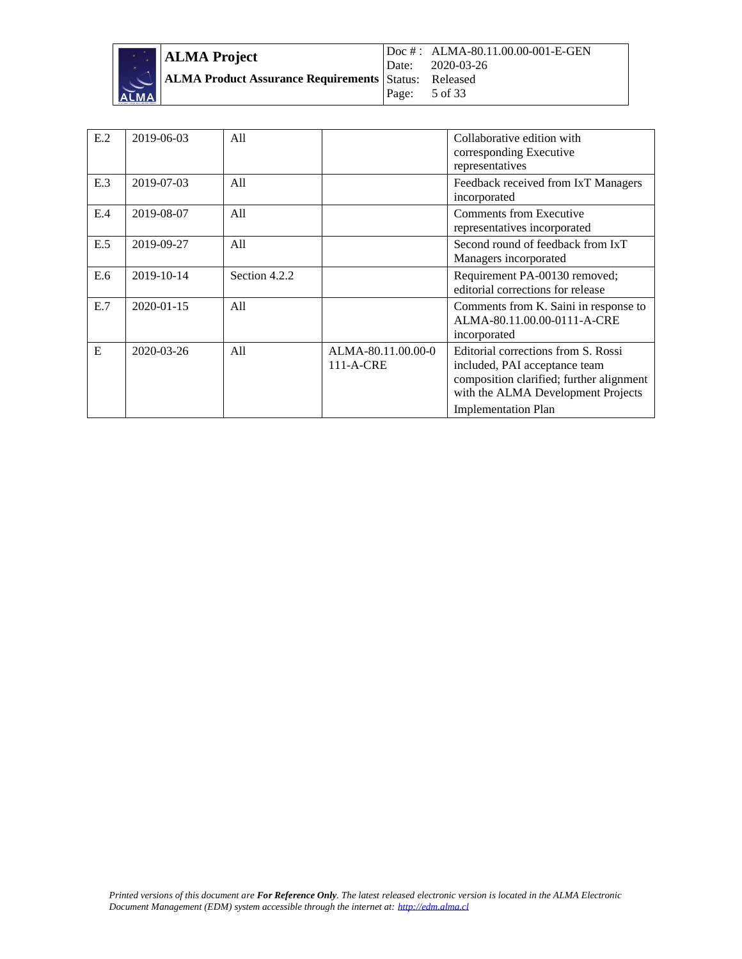

| ALMA Project                                                |                          | Doc #: ALMA-80.11.00.00-001-E-GEN<br>Date: 2020-03-26 |
|-------------------------------------------------------------|--------------------------|-------------------------------------------------------|
| <b>ALMA Product Assurance Requirements Status: Released</b> | Page: $5 \text{ of } 33$ |                                                       |

| E.2 | 2019-06-03       | A11           |                                 | Collaborative edition with<br>corresponding Executive<br>representatives                                                                                                             |
|-----|------------------|---------------|---------------------------------|--------------------------------------------------------------------------------------------------------------------------------------------------------------------------------------|
| E.3 | 2019-07-03       | All           |                                 | Feedback received from IxT Managers<br>incorporated                                                                                                                                  |
| E.4 | 2019-08-07       | A11           |                                 | Comments from Executive<br>representatives incorporated                                                                                                                              |
| E.5 | 2019-09-27       | A11           |                                 | Second round of feedback from IxT<br>Managers incorporated                                                                                                                           |
| E.6 | 2019-10-14       | Section 4.2.2 |                                 | Requirement PA-00130 removed;<br>editorial corrections for release                                                                                                                   |
| E.7 | $2020 - 01 - 15$ | A11           |                                 | Comments from K. Saini in response to<br>ALMA-80.11.00.00-0111-A-CRE<br>incorporated                                                                                                 |
| E   | $2020 - 03 - 26$ | All           | ALMA-80.11.00.00-0<br>111-A-CRE | Editorial corrections from S. Rossi<br>included, PAI acceptance team<br>composition clarified; further alignment<br>with the ALMA Development Projects<br><b>Implementation Plan</b> |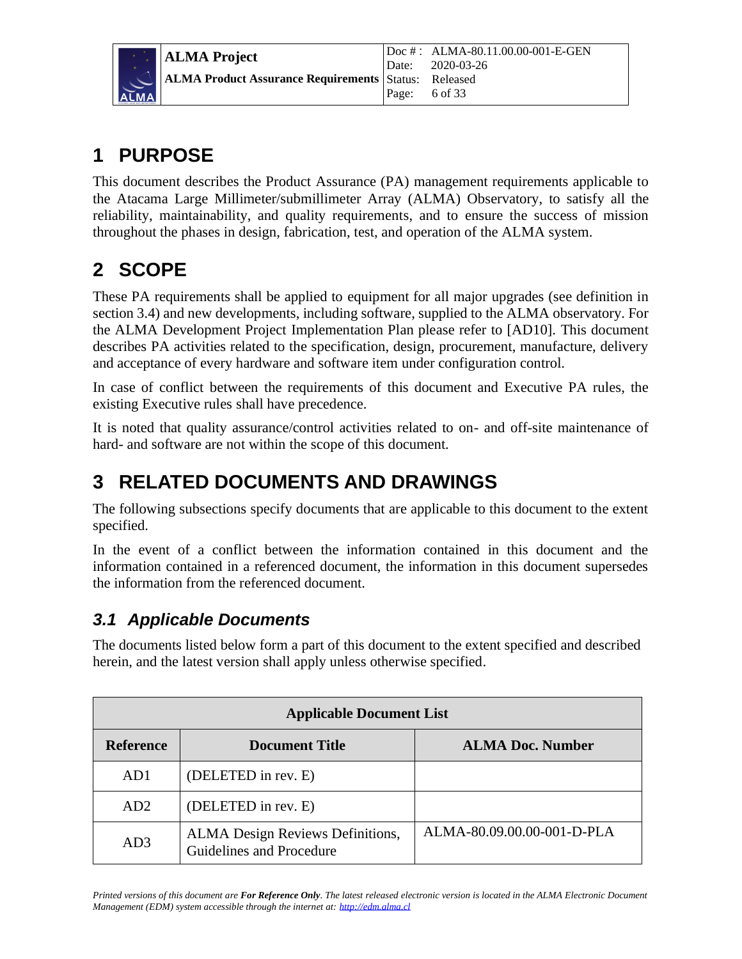، آ M A

### <span id="page-5-0"></span>**1 PURPOSE**

This document describes the Product Assurance (PA) management requirements applicable to the Atacama Large Millimeter/submillimeter Array (ALMA) Observatory, to satisfy all the reliability, maintainability, and quality requirements, and to ensure the success of mission throughout the phases in design, fabrication, test, and operation of the ALMA system.

## <span id="page-5-1"></span>**2 SCOPE**

These PA requirements shall be applied to equipment for all major upgrades (see definition in section 3.4) and new developments, including software, supplied to the ALMA observatory. For the ALMA Development Project Implementation Plan please refer to [AD10]. This document describes PA activities related to the specification, design, procurement, manufacture, delivery and acceptance of every hardware and software item under configuration control.

In case of conflict between the requirements of this document and Executive PA rules, the existing Executive rules shall have precedence.

It is noted that quality assurance/control activities related to on- and off-site maintenance of hard- and software are not within the scope of this document.

### <span id="page-5-2"></span>**3 RELATED DOCUMENTS AND DRAWINGS**

The following subsections specify documents that are applicable to this document to the extent specified.

In the event of a conflict between the information contained in this document and the information contained in a referenced document, the information in this document supersedes the information from the referenced document.

### <span id="page-5-3"></span>*3.1 Applicable Documents*

The documents listed below form a part of this document to the extent specified and described herein, and the latest version shall apply unless otherwise specified.

| <b>Applicable Document List</b> |                                                                     |                            |
|---------------------------------|---------------------------------------------------------------------|----------------------------|
| <b>Reference</b>                | <b>Document Title</b>                                               | <b>ALMA Doc. Number</b>    |
| AD1                             | (DELETED in rev. E)                                                 |                            |
| AD2                             | (DELETED in rev. E)                                                 |                            |
| AD3                             | <b>ALMA</b> Design Reviews Definitions,<br>Guidelines and Procedure | ALMA-80.09.00.00-001-D-PLA |

*Printed versions of this document are For Reference Only. The latest released electronic version is located in the ALMA Electronic Document Management (EDM) system accessible through the internet at: [http://edm.alma.cl](http://edm.alma.cl/)*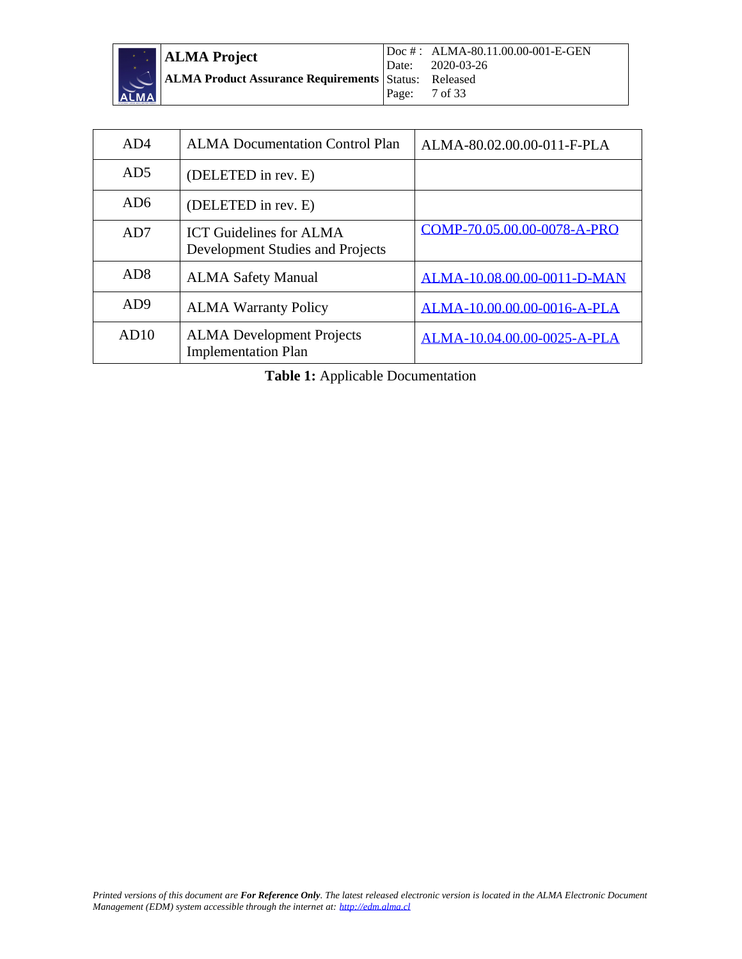| <b>EXAMPLE ALMA Project</b>                                                                                             | Doc # : ALMA-80.11.00.00-001-E-GEN<br>Date: 2020-03-26 |
|-------------------------------------------------------------------------------------------------------------------------|--------------------------------------------------------|
| <b>ALMA Product Assurance Requirements</b> Status: Released<br>ALMA <b>Product Assurance Requirements</b> Page: 7 of 33 |                                                        |

| AD4             | <b>ALMA Documentation Control Plan</b>                             | ALMA-80.02.00.00-011-F-PLA  |
|-----------------|--------------------------------------------------------------------|-----------------------------|
| AD5             | (DELETED in rev. E)                                                |                             |
| AD6             | (DELETED in rev. E)                                                |                             |
| AD <sub>7</sub> | <b>ICT Guidelines for ALMA</b><br>Development Studies and Projects | COMP-70.05.00.00-0078-A-PRO |
| AD <sub>8</sub> | <b>ALMA Safety Manual</b>                                          | ALMA-10.08.00.00-0011-D-MAN |
| AD9             | <b>ALMA Warranty Policy</b>                                        | ALMA-10.00.00.00-0016-A-PLA |
| AD10            | <b>ALMA</b> Development Projects<br><b>Implementation Plan</b>     | ALMA-10.04.00.00-0025-A-PLA |

**Table 1:** Applicable Documentation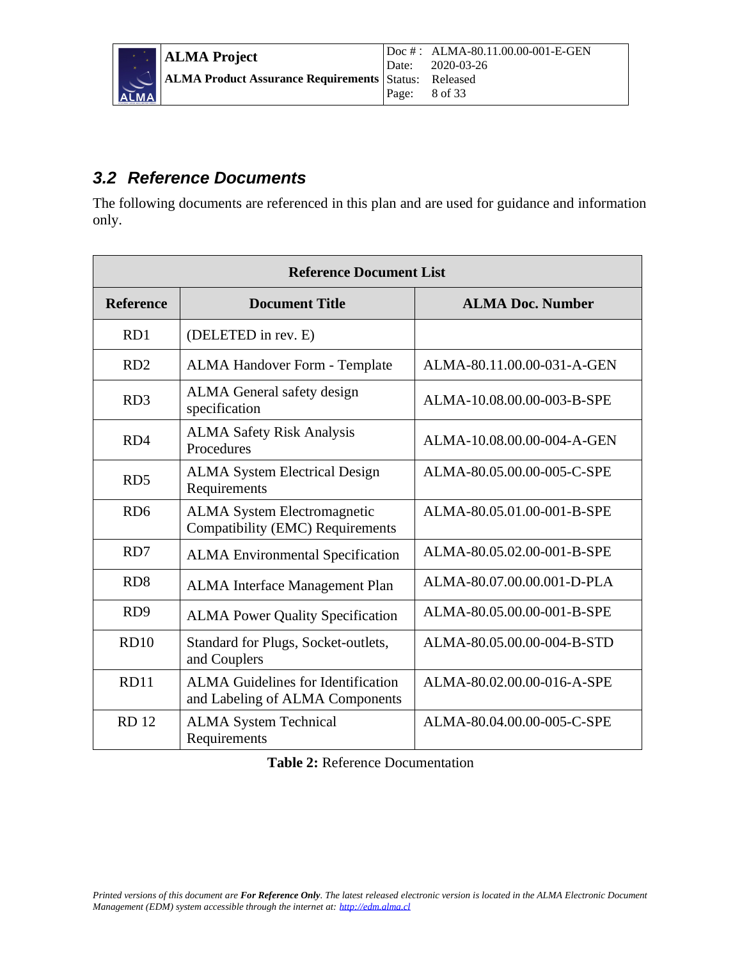### <span id="page-7-0"></span>*3.2 Reference Documents*

The following documents are referenced in this plan and are used for guidance and information only.

|                  | <b>Reference Document List</b>                                               |                            |  |  |
|------------------|------------------------------------------------------------------------------|----------------------------|--|--|
| <b>Reference</b> | <b>Document Title</b>                                                        | <b>ALMA Doc. Number</b>    |  |  |
| RD1              | (DELETED in rev. E)                                                          |                            |  |  |
| RD2              | <b>ALMA Handover Form - Template</b>                                         | ALMA-80.11.00.00-031-A-GEN |  |  |
| RD <sub>3</sub>  | ALMA General safety design<br>specification                                  | ALMA-10.08.00.00-003-B-SPE |  |  |
| RD4              | <b>ALMA Safety Risk Analysis</b><br>Procedures                               | ALMA-10.08.00.00-004-A-GEN |  |  |
| RD <sub>5</sub>  | <b>ALMA System Electrical Design</b><br>Requirements                         | ALMA-80.05.00.00-005-C-SPE |  |  |
| RD <sub>6</sub>  | <b>ALMA System Electromagnetic</b><br>Compatibility (EMC) Requirements       | ALMA-80.05.01.00-001-B-SPE |  |  |
| RD7              | <b>ALMA Environmental Specification</b>                                      | ALMA-80.05.02.00-001-B-SPE |  |  |
| RD <sub>8</sub>  | ALMA Interface Management Plan                                               | ALMA-80.07.00.00.001-D-PLA |  |  |
| RD <sub>9</sub>  | <b>ALMA Power Quality Specification</b>                                      | ALMA-80.05.00.00-001-B-SPE |  |  |
| RD10             | Standard for Plugs, Socket-outlets,<br>and Couplers                          | ALMA-80.05.00.00-004-B-STD |  |  |
| <b>RD11</b>      | <b>ALMA Guidelines for Identification</b><br>and Labeling of ALMA Components | ALMA-80.02.00.00-016-A-SPE |  |  |
| <b>RD</b> 12     | <b>ALMA System Technical</b><br>Requirements                                 | ALMA-80.04.00.00-005-C-SPE |  |  |

**Table 2:** Reference Documentation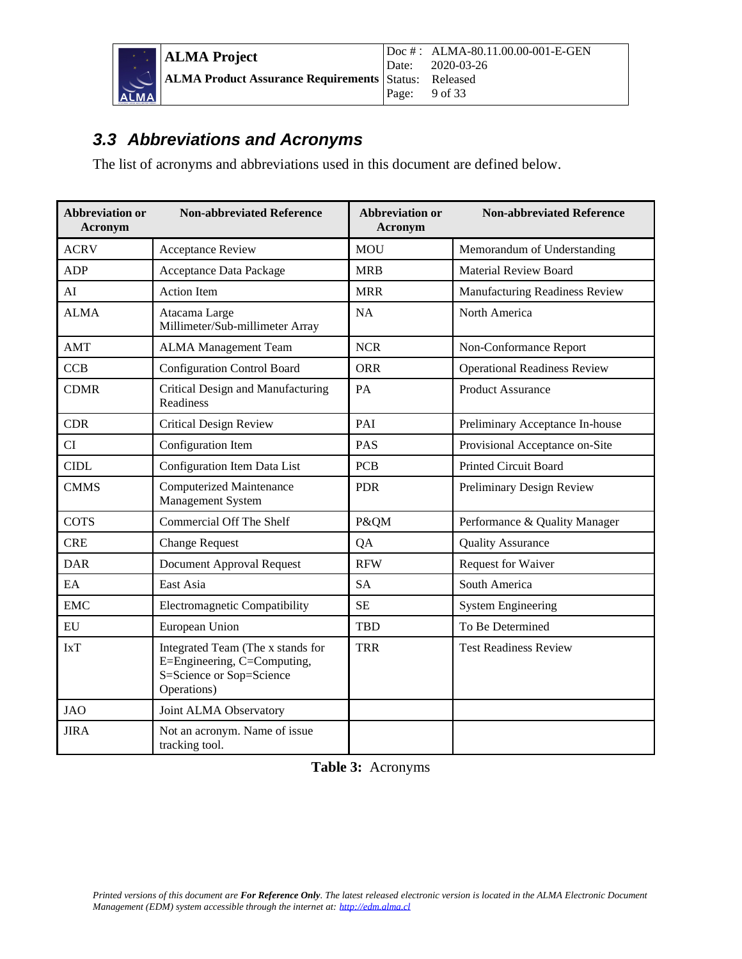

**ALMA Project ALMA Product Assurance Requirements** Doc # : ALMA-80.11.00.00-001-E-GEN Date: 2020-03-26<br>Status: Released Status: Released<br>Page: 9 of 33 9 of 33

### <span id="page-8-0"></span>*3.3 Abbreviations and Acronyms*

The list of acronyms and abbreviations used in this document are defined below.

| <b>Abbreviation or</b><br>Acronym | <b>Non-abbreviated Reference</b>                                                                            | <b>Abbreviation or</b><br><b>Acronym</b> | <b>Non-abbreviated Reference</b>    |
|-----------------------------------|-------------------------------------------------------------------------------------------------------------|------------------------------------------|-------------------------------------|
| <b>ACRV</b>                       | <b>Acceptance Review</b>                                                                                    | <b>MOU</b>                               | Memorandum of Understanding         |
| <b>ADP</b>                        | Acceptance Data Package                                                                                     | <b>MRB</b>                               | <b>Material Review Board</b>        |
| AI                                | <b>Action Item</b>                                                                                          | <b>MRR</b>                               | Manufacturing Readiness Review      |
| <b>ALMA</b>                       | Atacama Large<br>Millimeter/Sub-millimeter Array                                                            | <b>NA</b>                                | North America                       |
| AMT                               | <b>ALMA</b> Management Team                                                                                 | <b>NCR</b>                               | Non-Conformance Report              |
| <b>CCB</b>                        | <b>Configuration Control Board</b>                                                                          | <b>ORR</b>                               | <b>Operational Readiness Review</b> |
| <b>CDMR</b>                       | Critical Design and Manufacturing<br>Readiness                                                              | PA                                       | <b>Product Assurance</b>            |
| <b>CDR</b>                        | <b>Critical Design Review</b>                                                                               | PAI                                      | Preliminary Acceptance In-house     |
| CI                                | Configuration Item                                                                                          | PAS                                      | Provisional Acceptance on-Site      |
| <b>CIDL</b>                       | Configuration Item Data List                                                                                | <b>PCB</b>                               | <b>Printed Circuit Board</b>        |
| <b>CMMS</b>                       | <b>Computerized Maintenance</b><br>Management System                                                        | <b>PDR</b>                               | Preliminary Design Review           |
| <b>COTS</b>                       | <b>Commercial Off The Shelf</b>                                                                             | P&QM                                     | Performance & Quality Manager       |
| <b>CRE</b>                        | <b>Change Request</b>                                                                                       | QA                                       | <b>Quality Assurance</b>            |
| <b>DAR</b>                        | <b>Document Approval Request</b>                                                                            | <b>RFW</b>                               | <b>Request for Waiver</b>           |
| EA                                | East Asia                                                                                                   | <b>SA</b>                                | South America                       |
| <b>EMC</b>                        | Electromagnetic Compatibility                                                                               | <b>SE</b>                                | <b>System Engineering</b>           |
| ${\rm EU}$                        | European Union                                                                                              | <b>TBD</b>                               | To Be Determined                    |
| <b>IxT</b>                        | Integrated Team (The x stands for<br>E=Engineering, C=Computing,<br>S=Science or Sop=Science<br>Operations) | <b>TRR</b>                               | <b>Test Readiness Review</b>        |
| <b>JAO</b>                        | Joint ALMA Observatory                                                                                      |                                          |                                     |
| <b>JIRA</b>                       | Not an acronym. Name of issue<br>tracking tool.                                                             |                                          |                                     |

**Table 3:** Acronyms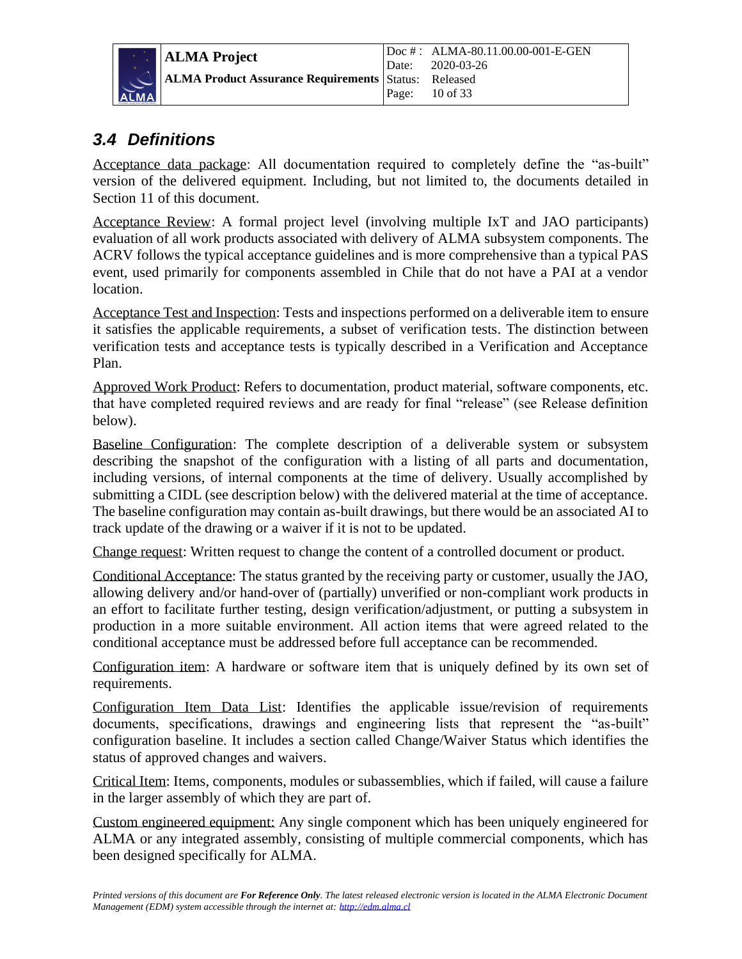

**ALMA Project ALMA Product Assurance Requirements** Doc # : ALMA-80.11.00.00-001-E-GEN Date: 2020-03-26 Status: Released Page: 10 of 33

#### <span id="page-9-0"></span>*3.4 Definitions*

Acceptance data package: All documentation required to completely define the "as-built" version of the delivered equipment. Including, but not limited to, the documents detailed in Section 11 of this document.

Acceptance Review: A formal project level (involving multiple IxT and JAO participants) evaluation of all work products associated with delivery of ALMA subsystem components. The ACRV follows the typical acceptance guidelines and is more comprehensive than a typical PAS event, used primarily for components assembled in Chile that do not have a PAI at a vendor location.

Acceptance Test and Inspection: Tests and inspections performed on a deliverable item to ensure it satisfies the applicable requirements, a subset of verification tests. The distinction between verification tests and acceptance tests is typically described in a Verification and Acceptance Plan.

Approved Work Product: Refers to documentation, product material, software components, etc. that have completed required reviews and are ready for final "release" (see Release definition below).

Baseline Configuration: The complete description of a deliverable system or subsystem describing the snapshot of the configuration with a listing of all parts and documentation, including versions, of internal components at the time of delivery. Usually accomplished by submitting a CIDL (see description below) with the delivered material at the time of acceptance. The baseline configuration may contain as-built drawings, but there would be an associated AI to track update of the drawing or a waiver if it is not to be updated.

Change request: Written request to change the content of a controlled document or product.

Conditional Acceptance: The status granted by the receiving party or customer, usually the JAO, allowing delivery and/or hand-over of (partially) unverified or non-compliant work products in an effort to facilitate further testing, design verification/adjustment, or putting a subsystem in production in a more suitable environment. All action items that were agreed related to the conditional acceptance must be addressed before full acceptance can be recommended.

Configuration item: A hardware or software item that is uniquely defined by its own set of requirements.

Configuration Item Data List: Identifies the applicable issue/revision of requirements documents, specifications, drawings and engineering lists that represent the "as-built" configuration baseline. It includes a section called Change/Waiver Status which identifies the status of approved changes and waivers.

Critical Item: Items, components, modules or subassemblies, which if failed, will cause a failure in the larger assembly of which they are part of.

Custom engineered equipment: Any single component which has been uniquely engineered for ALMA or any integrated assembly, consisting of multiple commercial components, which has been designed specifically for ALMA.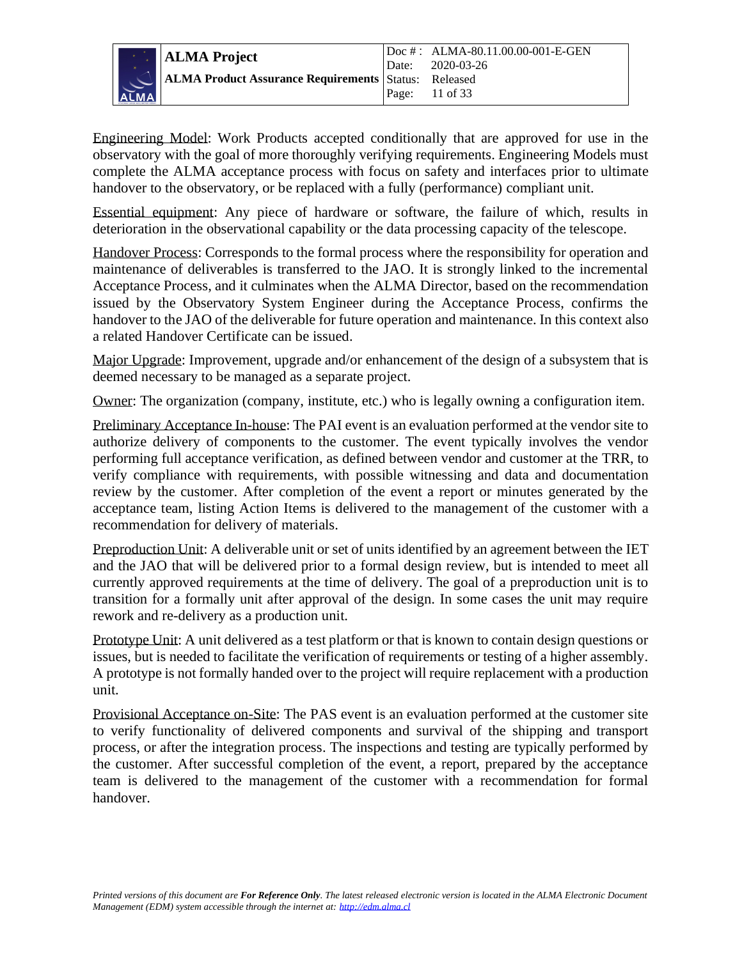

Engineering Model: Work Products accepted conditionally that are approved for use in the observatory with the goal of more thoroughly verifying requirements. Engineering Models must complete the ALMA acceptance process with focus on safety and interfaces prior to ultimate handover to the observatory, or be replaced with a fully (performance) compliant unit.

Essential equipment: Any piece of hardware or software, the failure of which, results in deterioration in the observational capability or the data processing capacity of the telescope.

Handover Process: Corresponds to the formal process where the responsibility for operation and maintenance of deliverables is transferred to the JAO. It is strongly linked to the incremental Acceptance Process, and it culminates when the ALMA Director, based on the recommendation issued by the Observatory System Engineer during the Acceptance Process, confirms the handover to the JAO of the deliverable for future operation and maintenance. In this context also a related Handover Certificate can be issued.

Major Upgrade: Improvement, upgrade and/or enhancement of the design of a subsystem that is deemed necessary to be managed as a separate project.

Owner: The organization (company, institute, etc.) who is legally owning a configuration item.

Preliminary Acceptance In-house: The PAI event is an evaluation performed at the vendor site to authorize delivery of components to the customer. The event typically involves the vendor performing full acceptance verification, as defined between vendor and customer at the TRR, to verify compliance with requirements, with possible witnessing and data and documentation review by the customer. After completion of the event a report or minutes generated by the acceptance team, listing Action Items is delivered to the management of the customer with a recommendation for delivery of materials.

Preproduction Unit: A deliverable unit or set of units identified by an agreement between the IET and the JAO that will be delivered prior to a formal design review, but is intended to meet all currently approved requirements at the time of delivery. The goal of a preproduction unit is to transition for a formally unit after approval of the design. In some cases the unit may require rework and re-delivery as a production unit.

Prototype Unit: A unit delivered as a test platform or that is known to contain design questions or issues, but is needed to facilitate the verification of requirements or testing of a higher assembly. A prototype is not formally handed over to the project will require replacement with a production unit.

Provisional Acceptance on-Site: The PAS event is an evaluation performed at the customer site to verify functionality of delivered components and survival of the shipping and transport process, or after the integration process. The inspections and testing are typically performed by the customer. After successful completion of the event, a report, prepared by the acceptance team is delivered to the management of the customer with a recommendation for formal handover.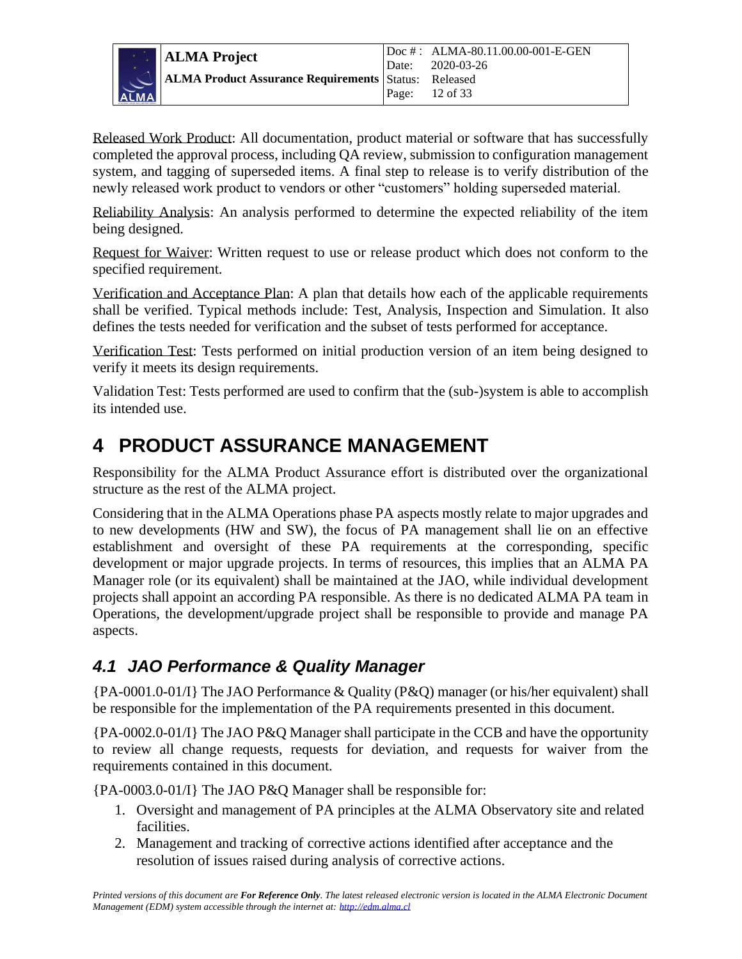

Released Work Product: All documentation, product material or software that has successfully completed the approval process, including QA review, submission to configuration management system, and tagging of superseded items. A final step to release is to verify distribution of the newly released work product to vendors or other "customers" holding superseded material.

Reliability Analysis: An analysis performed to determine the expected reliability of the item being designed.

Request for Waiver: Written request to use or release product which does not conform to the specified requirement.

Verification and Acceptance Plan: A plan that details how each of the applicable requirements shall be verified. Typical methods include: Test, Analysis, Inspection and Simulation. It also defines the tests needed for verification and the subset of tests performed for acceptance.

Verification Test: Tests performed on initial production version of an item being designed to verify it meets its design requirements.

Validation Test: Tests performed are used to confirm that the (sub-)system is able to accomplish its intended use.

### <span id="page-11-0"></span>**4 PRODUCT ASSURANCE MANAGEMENT**

Responsibility for the ALMA Product Assurance effort is distributed over the organizational structure as the rest of the ALMA project.

Considering that in the ALMA Operations phase PA aspects mostly relate to major upgrades and to new developments (HW and SW), the focus of PA management shall lie on an effective establishment and oversight of these PA requirements at the corresponding, specific development or major upgrade projects. In terms of resources, this implies that an ALMA PA Manager role (or its equivalent) shall be maintained at the JAO, while individual development projects shall appoint an according PA responsible. As there is no dedicated ALMA PA team in Operations, the development/upgrade project shall be responsible to provide and manage PA aspects.

### <span id="page-11-1"></span>*4.1 JAO Performance & Quality Manager*

{PA-0001.0-01/I} The JAO Performance & Quality (P&Q) manager (or his/her equivalent) shall be responsible for the implementation of the PA requirements presented in this document.

{PA-0002.0-01/I} The JAO P&Q Manager shall participate in the CCB and have the opportunity to review all change requests, requests for deviation, and requests for waiver from the requirements contained in this document.

{PA-0003.0-01/I} The JAO P&Q Manager shall be responsible for:

- 1. Oversight and management of PA principles at the ALMA Observatory site and related facilities.
- 2. Management and tracking of corrective actions identified after acceptance and the resolution of issues raised during analysis of corrective actions.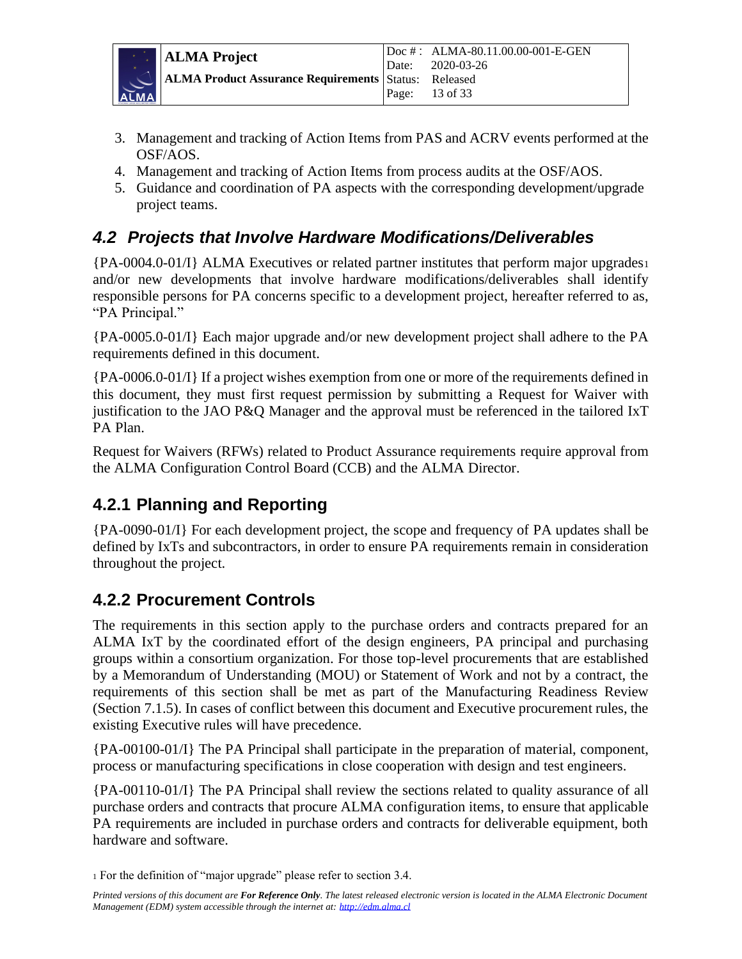

- 3. Management and tracking of Action Items from PAS and ACRV events performed at the OSF/AOS.
- 4. Management and tracking of Action Items from process audits at the OSF/AOS.
- 5. Guidance and coordination of PA aspects with the corresponding development/upgrade project teams.

### <span id="page-12-0"></span>*4.2 Projects that Involve Hardware Modifications/Deliverables*

{PA-0004.0-01/I} ALMA Executives or related partner institutes that perform major upgrades<sup>1</sup> and/or new developments that involve hardware modifications/deliverables shall identify responsible persons for PA concerns specific to a development project, hereafter referred to as, "PA Principal."

{PA-0005.0-01/I} Each major upgrade and/or new development project shall adhere to the PA requirements defined in this document.

{PA-0006.0-01/I} If a project wishes exemption from one or more of the requirements defined in this document, they must first request permission by submitting a Request for Waiver with justification to the JAO P&Q Manager and the approval must be referenced in the tailored IxT PA Plan.

Request for Waivers (RFWs) related to Product Assurance requirements require approval from the ALMA Configuration Control Board (CCB) and the ALMA Director.

### <span id="page-12-1"></span>**4.2.1 Planning and Reporting**

{PA-0090-01/I} For each development project, the scope and frequency of PA updates shall be defined by IxTs and subcontractors, in order to ensure PA requirements remain in consideration throughout the project.

### <span id="page-12-2"></span>**4.2.2 Procurement Controls**

The requirements in this section apply to the purchase orders and contracts prepared for an ALMA IxT by the coordinated effort of the design engineers, PA principal and purchasing groups within a consortium organization. For those top-level procurements that are established by a Memorandum of Understanding (MOU) or Statement of Work and not by a contract, the requirements of this section shall be met as part of the Manufacturing Readiness Review (Section 7.1.5). In cases of conflict between this document and Executive procurement rules, the existing Executive rules will have precedence.

{PA-00100-01/I} The PA Principal shall participate in the preparation of material, component, process or manufacturing specifications in close cooperation with design and test engineers.

{PA-00110-01/I} The PA Principal shall review the sections related to quality assurance of all purchase orders and contracts that procure ALMA configuration items, to ensure that applicable PA requirements are included in purchase orders and contracts for deliverable equipment, both hardware and software.

<sup>1</sup> For the definition of "major upgrade" please refer to section 3.4.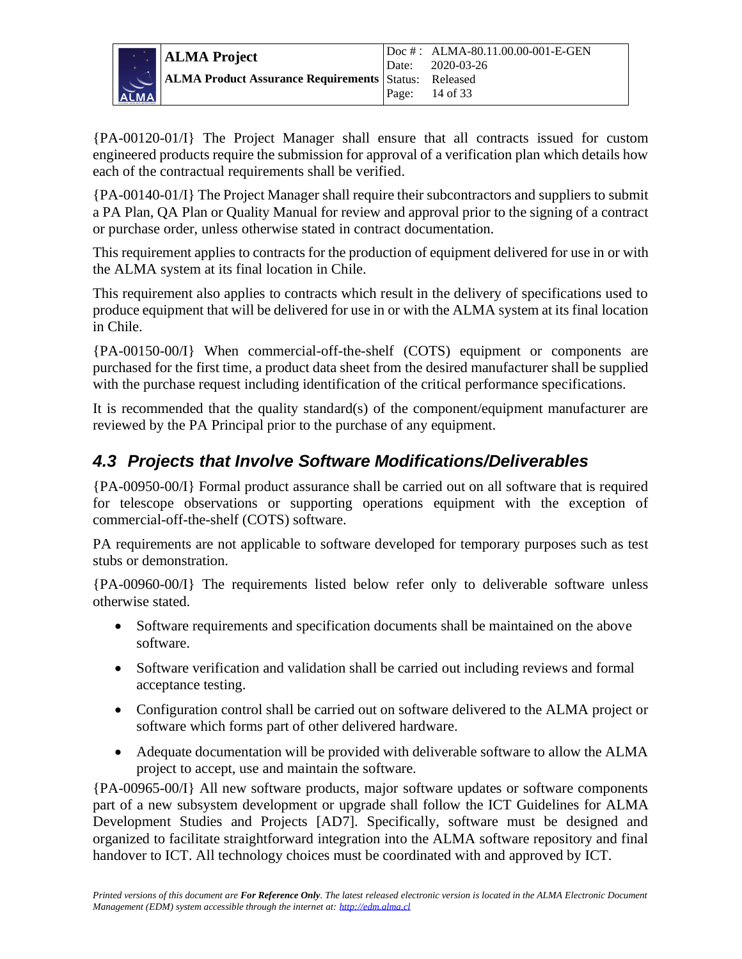

{PA-00120-01/I} The Project Manager shall ensure that all contracts issued for custom engineered products require the submission for approval of a verification plan which details how each of the contractual requirements shall be verified.

{PA-00140-01/I} The Project Manager shall require their subcontractors and suppliers to submit a PA Plan, QA Plan or Quality Manual for review and approval prior to the signing of a contract or purchase order, unless otherwise stated in contract documentation.

This requirement applies to contracts for the production of equipment delivered for use in or with the ALMA system at its final location in Chile.

This requirement also applies to contracts which result in the delivery of specifications used to produce equipment that will be delivered for use in or with the ALMA system at its final location in Chile.

{PA-00150-00/I} When commercial-off-the-shelf (COTS) equipment or components are purchased for the first time, a product data sheet from the desired manufacturer shall be supplied with the purchase request including identification of the critical performance specifications.

It is recommended that the quality standard(s) of the component/equipment manufacturer are reviewed by the PA Principal prior to the purchase of any equipment.

### <span id="page-13-0"></span>*4.3 Projects that Involve Software Modifications/Deliverables*

{PA-00950-00/I} Formal product assurance shall be carried out on all software that is required for telescope observations or supporting operations equipment with the exception of commercial-off-the-shelf (COTS) software.

PA requirements are not applicable to software developed for temporary purposes such as test stubs or demonstration.

{PA-00960-00/I} The requirements listed below refer only to deliverable software unless otherwise stated.

- Software requirements and specification documents shall be maintained on the above software.
- Software verification and validation shall be carried out including reviews and formal acceptance testing.
- Configuration control shall be carried out on software delivered to the ALMA project or software which forms part of other delivered hardware.
- Adequate documentation will be provided with deliverable software to allow the ALMA project to accept, use and maintain the software.

{PA-00965-00/I} All new software products, major software updates or software components part of a new subsystem development or upgrade shall follow the ICT Guidelines for ALMA Development Studies and Projects [AD7]. Specifically, software must be designed and organized to facilitate straightforward integration into the ALMA software repository and final handover to ICT. All technology choices must be coordinated with and approved by ICT.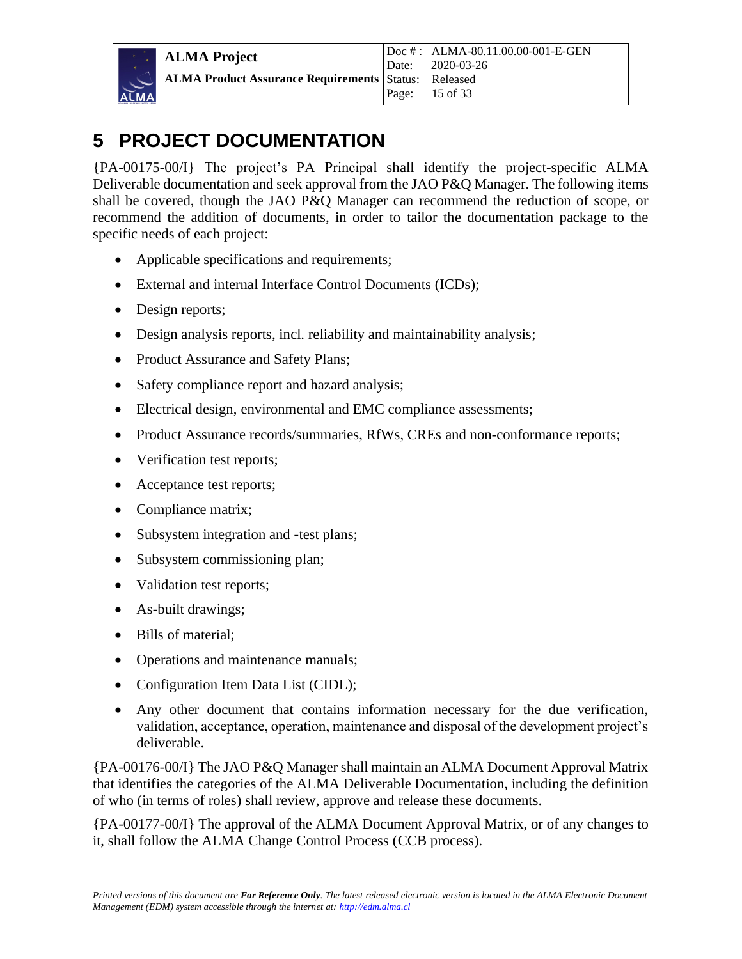### <span id="page-14-0"></span>**5 PROJECT DOCUMENTATION**

{PA-00175-00/I} The project's PA Principal shall identify the project-specific ALMA Deliverable documentation and seek approval from the JAO P&O Manager. The following items shall be covered, though the JAO P&Q Manager can recommend the reduction of scope, or recommend the addition of documents, in order to tailor the documentation package to the specific needs of each project:

- Applicable specifications and requirements;
- External and internal Interface Control Documents (ICDs);
- Design reports;
- Design analysis reports, incl. reliability and maintainability analysis;
- Product Assurance and Safety Plans;
- Safety compliance report and hazard analysis;
- Electrical design, environmental and EMC compliance assessments;
- Product Assurance records/summaries, RfWs, CREs and non-conformance reports;
- Verification test reports;
- Acceptance test reports;
- Compliance matrix;
- Subsystem integration and -test plans;
- Subsystem commissioning plan;
- Validation test reports;
- As-built drawings;
- Bills of material;
- Operations and maintenance manuals;
- Configuration Item Data List (CIDL);
- Any other document that contains information necessary for the due verification, validation, acceptance, operation, maintenance and disposal of the development project's deliverable.

{PA-00176-00/I} The JAO P&Q Manager shall maintain an ALMA Document Approval Matrix that identifies the categories of the ALMA Deliverable Documentation, including the definition of who (in terms of roles) shall review, approve and release these documents.

{PA-00177-00/I} The approval of the ALMA Document Approval Matrix, or of any changes to it, shall follow the ALMA Change Control Process (CCB process).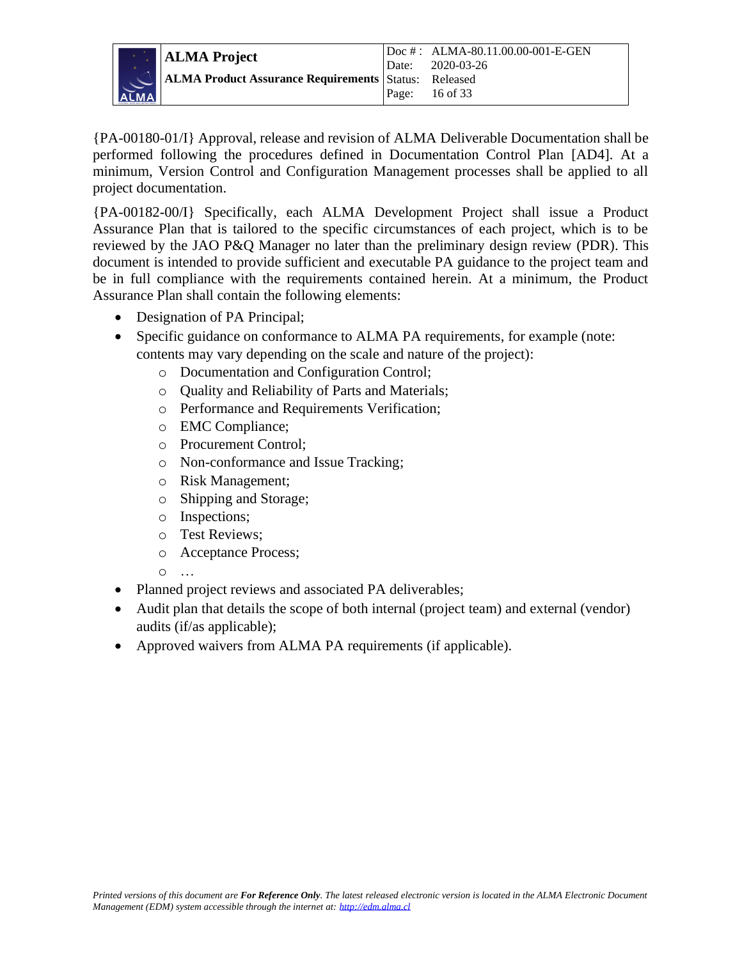

{PA-00180-01/I} Approval, release and revision of ALMA Deliverable Documentation shall be performed following the procedures defined in Documentation Control Plan [AD4]. At a minimum, Version Control and Configuration Management processes shall be applied to all project documentation.

{PA-00182-00/I} Specifically, each ALMA Development Project shall issue a Product Assurance Plan that is tailored to the specific circumstances of each project, which is to be reviewed by the JAO P&Q Manager no later than the preliminary design review (PDR). This document is intended to provide sufficient and executable PA guidance to the project team and be in full compliance with the requirements contained herein. At a minimum, the Product Assurance Plan shall contain the following elements:

- Designation of PA Principal;
- Specific guidance on conformance to ALMA PA requirements, for example (note: contents may vary depending on the scale and nature of the project):
	- o Documentation and Configuration Control;
	- o Quality and Reliability of Parts and Materials;
	- o Performance and Requirements Verification;
	- o EMC Compliance;
	- o Procurement Control;
	- o Non-conformance and Issue Tracking;
	- o Risk Management;
	- o Shipping and Storage;
	- o Inspections;
	- o Test Reviews;
	- o Acceptance Process;
	- o …
- Planned project reviews and associated PA deliverables;
- Audit plan that details the scope of both internal (project team) and external (vendor) audits (if/as applicable);
- Approved waivers from ALMA PA requirements (if applicable).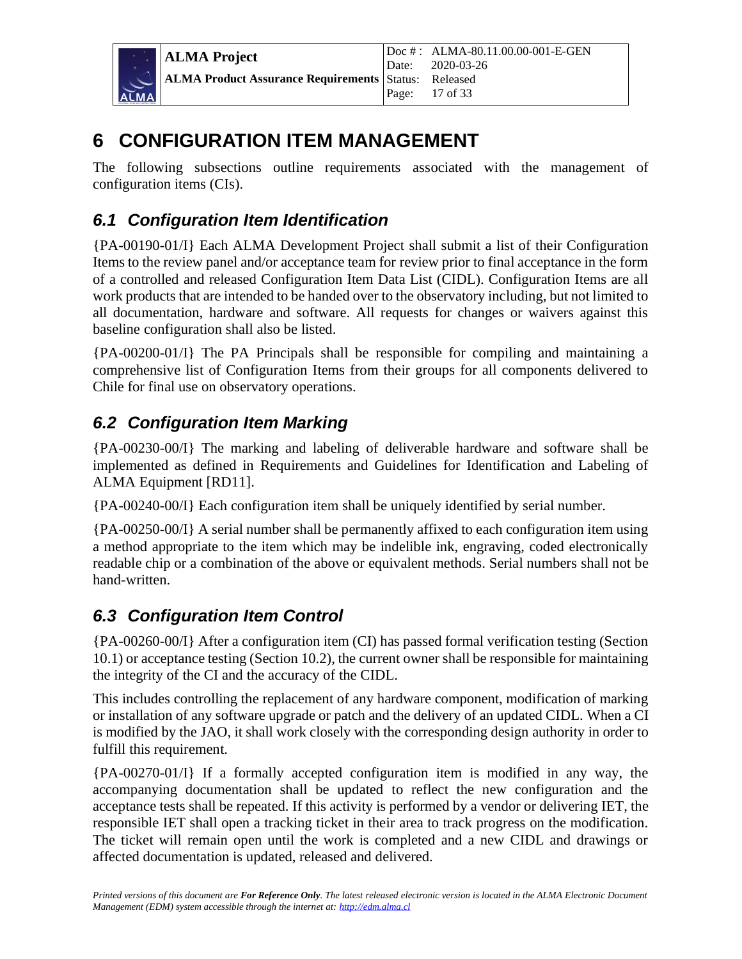

**ALMA Project ALMA Product Assurance Requirements** Doc # : ALMA-80.11.00.00-001-E-GEN Date: 2020-03-26 Status: Released Page: 17 of 33

### <span id="page-16-0"></span>**6 CONFIGURATION ITEM MANAGEMENT**

The following subsections outline requirements associated with the management of configuration items (CIs).

### <span id="page-16-1"></span>*6.1 Configuration Item Identification*

{PA-00190-01/I} Each ALMA Development Project shall submit a list of their Configuration Items to the review panel and/or acceptance team for review prior to final acceptance in the form of a controlled and released Configuration Item Data List (CIDL). Configuration Items are all work products that are intended to be handed over to the observatory including, but not limited to all documentation, hardware and software. All requests for changes or waivers against this baseline configuration shall also be listed.

{PA-00200-01/I} The PA Principals shall be responsible for compiling and maintaining a comprehensive list of Configuration Items from their groups for all components delivered to Chile for final use on observatory operations.

### <span id="page-16-2"></span>*6.2 Configuration Item Marking*

{PA-00230-00/I} The marking and labeling of deliverable hardware and software shall be implemented as defined in Requirements and Guidelines for Identification and Labeling of ALMA Equipment [RD11].

{PA-00240-00/I} Each configuration item shall be uniquely identified by serial number.

{PA-00250-00/I} A serial number shall be permanently affixed to each configuration item using a method appropriate to the item which may be indelible ink, engraving, coded electronically readable chip or a combination of the above or equivalent methods. Serial numbers shall not be hand-written.

### <span id="page-16-3"></span>*6.3 Configuration Item Control*

{PA-00260-00/I} After a configuration item (CI) has passed formal verification testing (Section [10.1\)](#page-21-3) or acceptance testing (Section 10.2), the current owner shall be responsible for maintaining the integrity of the CI and the accuracy of the CIDL.

This includes controlling the replacement of any hardware component, modification of marking or installation of any software upgrade or patch and the delivery of an updated CIDL. When a CI is modified by the JAO, it shall work closely with the corresponding design authority in order to fulfill this requirement.

{PA-00270-01/I} If a formally accepted configuration item is modified in any way, the accompanying documentation shall be updated to reflect the new configuration and the acceptance tests shall be repeated. If this activity is performed by a vendor or delivering IET, the responsible IET shall open a tracking ticket in their area to track progress on the modification. The ticket will remain open until the work is completed and a new CIDL and drawings or affected documentation is updated, released and delivered.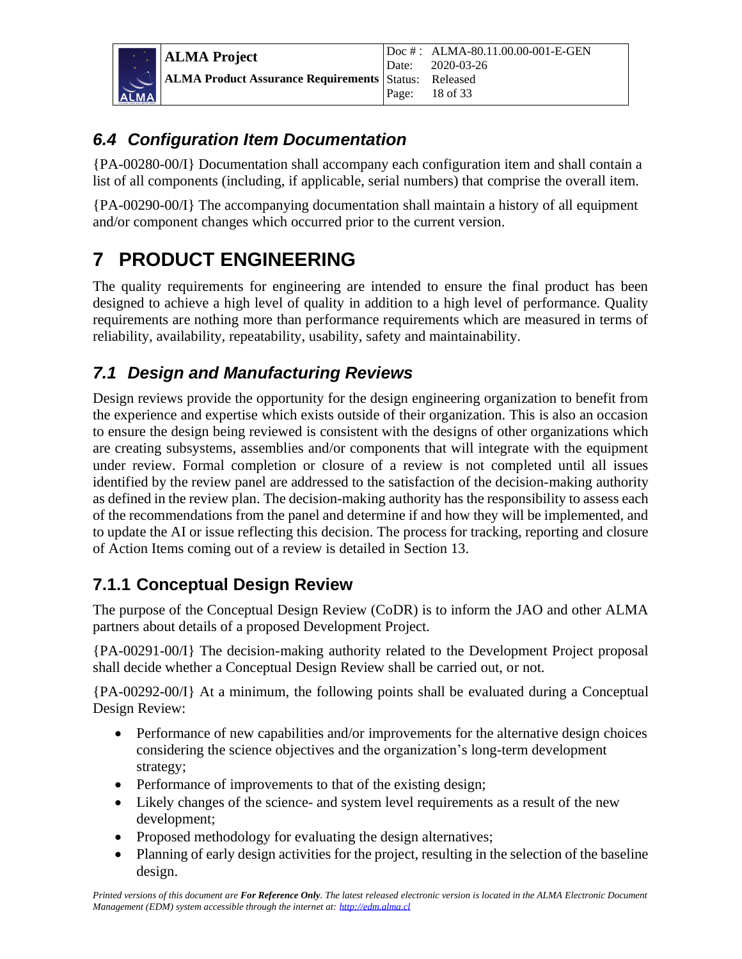

### <span id="page-17-0"></span>*6.4 Configuration Item Documentation*

{PA-00280-00/I} Documentation shall accompany each configuration item and shall contain a list of all components (including, if applicable, serial numbers) that comprise the overall item.

{PA-00290-00/I} The accompanying documentation shall maintain a history of all equipment and/or component changes which occurred prior to the current version.

## <span id="page-17-1"></span>**7 PRODUCT ENGINEERING**

The quality requirements for engineering are intended to ensure the final product has been designed to achieve a high level of quality in addition to a high level of performance. Quality requirements are nothing more than performance requirements which are measured in terms of reliability, availability, repeatability, usability, safety and maintainability.

### <span id="page-17-2"></span>*7.1 Design and Manufacturing Reviews*

Design reviews provide the opportunity for the design engineering organization to benefit from the experience and expertise which exists outside of their organization. This is also an occasion to ensure the design being reviewed is consistent with the designs of other organizations which are creating subsystems, assemblies and/or components that will integrate with the equipment under review. Formal completion or closure of a review is not completed until all issues identified by the review panel are addressed to the satisfaction of the decision-making authority as defined in the review plan. The decision-making authority has the responsibility to assess each of the recommendations from the panel and determine if and how they will be implemented, and to update the AI or issue reflecting this decision. The process for tracking, reporting and closure of Action Items coming out of a review is detailed in Section 13.

### <span id="page-17-3"></span>**7.1.1 Conceptual Design Review**

The purpose of the Conceptual Design Review (CoDR) is to inform the JAO and other ALMA partners about details of a proposed Development Project.

{PA-00291-00/I} The decision-making authority related to the Development Project proposal shall decide whether a Conceptual Design Review shall be carried out, or not.

{PA-00292-00/I} At a minimum, the following points shall be evaluated during a Conceptual Design Review:

- Performance of new capabilities and/or improvements for the alternative design choices considering the science objectives and the organization's long-term development strategy;
- Performance of improvements to that of the existing design;
- Likely changes of the science- and system level requirements as a result of the new development;
- Proposed methodology for evaluating the design alternatives;
- Planning of early design activities for the project, resulting in the selection of the baseline design.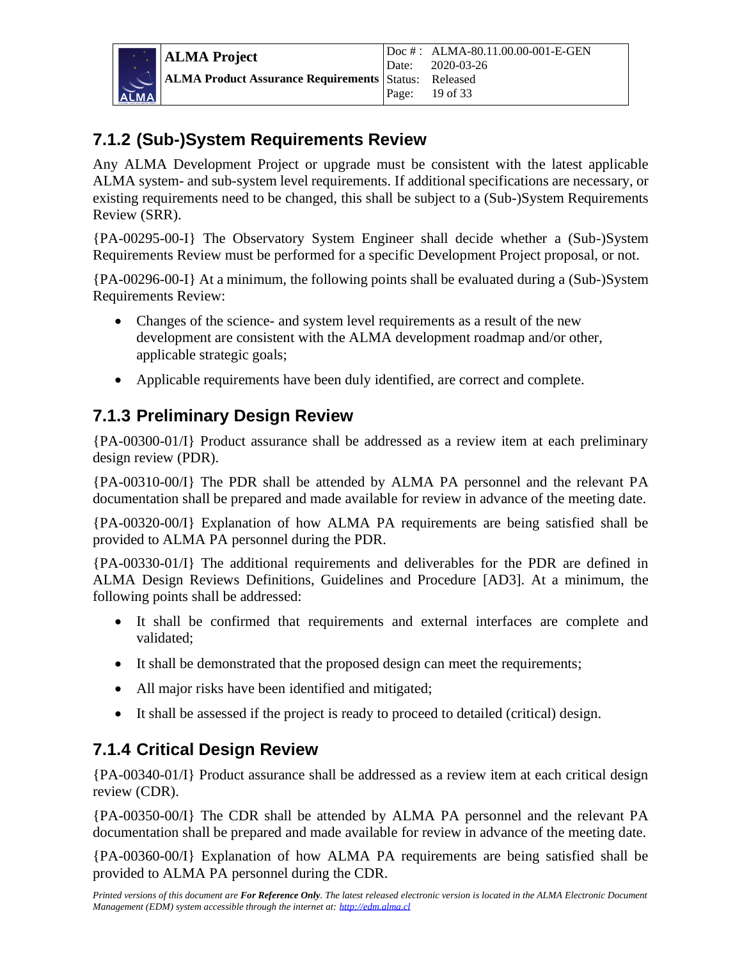### <span id="page-18-0"></span>**7.1.2 (Sub-)System Requirements Review**

Any ALMA Development Project or upgrade must be consistent with the latest applicable ALMA system- and sub-system level requirements. If additional specifications are necessary, or existing requirements need to be changed, this shall be subject to a (Sub-)System Requirements Review (SRR).

{PA-00295-00-I} The Observatory System Engineer shall decide whether a (Sub-)System Requirements Review must be performed for a specific Development Project proposal, or not.

{PA-00296-00-I} At a minimum, the following points shall be evaluated during a (Sub-)System Requirements Review:

- Changes of the science- and system level requirements as a result of the new development are consistent with the ALMA development roadmap and/or other, applicable strategic goals;
- Applicable requirements have been duly identified, are correct and complete.

### <span id="page-18-1"></span>**7.1.3 Preliminary Design Review**

{PA-00300-01/I} Product assurance shall be addressed as a review item at each preliminary design review (PDR).

{PA-00310-00/I} The PDR shall be attended by ALMA PA personnel and the relevant PA documentation shall be prepared and made available for review in advance of the meeting date.

{PA-00320-00/I} Explanation of how ALMA PA requirements are being satisfied shall be provided to ALMA PA personnel during the PDR.

{PA-00330-01/I} The additional requirements and deliverables for the PDR are defined in ALMA Design Reviews Definitions, Guidelines and Procedure [AD3]. At a minimum, the following points shall be addressed:

- It shall be confirmed that requirements and external interfaces are complete and validated;
- It shall be demonstrated that the proposed design can meet the requirements;
- All major risks have been identified and mitigated;
- It shall be assessed if the project is ready to proceed to detailed (critical) design.

### <span id="page-18-2"></span>**7.1.4 Critical Design Review**

{PA-00340-01/I} Product assurance shall be addressed as a review item at each critical design review (CDR).

{PA-00350-00/I} The CDR shall be attended by ALMA PA personnel and the relevant PA documentation shall be prepared and made available for review in advance of the meeting date.

{PA-00360-00/I} Explanation of how ALMA PA requirements are being satisfied shall be provided to ALMA PA personnel during the CDR.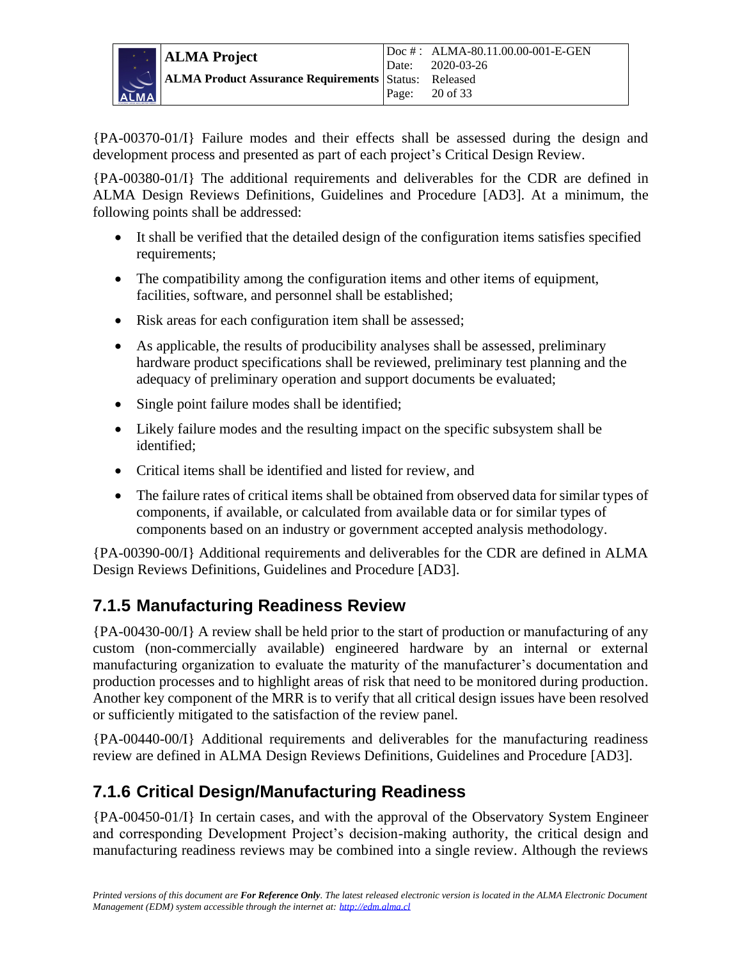

{PA-00370-01/I} Failure modes and their effects shall be assessed during the design and development process and presented as part of each project's Critical Design Review.

{PA-00380-01/I} The additional requirements and deliverables for the CDR are defined in ALMA Design Reviews Definitions, Guidelines and Procedure [AD3]. At a minimum, the following points shall be addressed:

- It shall be verified that the detailed design of the configuration items satisfies specified requirements;
- The compatibility among the configuration items and other items of equipment, facilities, software, and personnel shall be established;
- Risk areas for each configuration item shall be assessed;
- As applicable, the results of producibility analyses shall be assessed, preliminary hardware product specifications shall be reviewed, preliminary test planning and the adequacy of preliminary operation and support documents be evaluated;
- Single point failure modes shall be identified;
- Likely failure modes and the resulting impact on the specific subsystem shall be identified;
- Critical items shall be identified and listed for review, and
- The failure rates of critical items shall be obtained from observed data for similar types of components, if available, or calculated from available data or for similar types of components based on an industry or government accepted analysis methodology.

{PA-00390-00/I} Additional requirements and deliverables for the CDR are defined in ALMA Design Reviews Definitions, Guidelines and Procedure [AD3].

### <span id="page-19-0"></span>**7.1.5 Manufacturing Readiness Review**

{PA-00430-00/I} A review shall be held prior to the start of production or manufacturing of any custom (non-commercially available) engineered hardware by an internal or external manufacturing organization to evaluate the maturity of the manufacturer's documentation and production processes and to highlight areas of risk that need to be monitored during production. Another key component of the MRR is to verify that all critical design issues have been resolved or sufficiently mitigated to the satisfaction of the review panel.

{PA-00440-00/I} Additional requirements and deliverables for the manufacturing readiness review are defined in ALMA Design Reviews Definitions, Guidelines and Procedure [AD3].

### <span id="page-19-1"></span>**7.1.6 Critical Design/Manufacturing Readiness**

{PA-00450-01/I} In certain cases, and with the approval of the Observatory System Engineer and corresponding Development Project's decision-making authority, the critical design and manufacturing readiness reviews may be combined into a single review. Although the reviews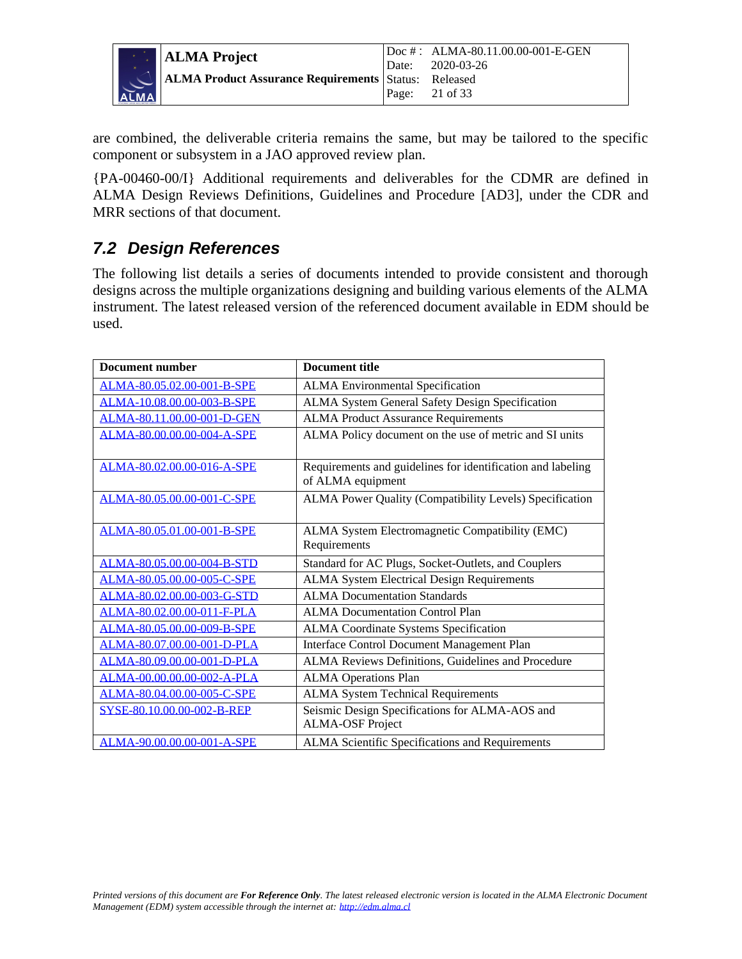

are combined, the deliverable criteria remains the same, but may be tailored to the specific component or subsystem in a JAO approved review plan.

{PA-00460-00/I} Additional requirements and deliverables for the CDMR are defined in ALMA Design Reviews Definitions, Guidelines and Procedure [AD3], under the CDR and MRR sections of that document.

### <span id="page-20-0"></span>*7.2 Design References*

The following list details a series of documents intended to provide consistent and thorough designs across the multiple organizations designing and building various elements of the ALMA instrument. The latest released version of the referenced document available in EDM should be used.

| <b>Document number</b>     | <b>Document title</b>                                       |
|----------------------------|-------------------------------------------------------------|
| ALMA-80.05.02.00-001-B-SPE | <b>ALMA Environmental Specification</b>                     |
| ALMA-10.08.00.00-003-B-SPE | ALMA System General Safety Design Specification             |
| ALMA-80.11.00.00-001-D-GEN | <b>ALMA Product Assurance Requirements</b>                  |
| ALMA-80.00.00.00-004-A-SPE | ALMA Policy document on the use of metric and SI units      |
|                            |                                                             |
| ALMA-80.02.00.00-016-A-SPE | Requirements and guidelines for identification and labeling |
|                            | of ALMA equipment                                           |
| ALMA-80.05.00.00-001-C-SPE | ALMA Power Quality (Compatibility Levels) Specification     |
|                            |                                                             |
| ALMA-80.05.01.00-001-B-SPE | ALMA System Electromagnetic Compatibility (EMC)             |
|                            | Requirements                                                |
| ALMA-80.05.00.00-004-B-STD | Standard for AC Plugs, Socket-Outlets, and Couplers         |
| ALMA-80.05.00.00-005-C-SPE | <b>ALMA System Electrical Design Requirements</b>           |
| ALMA-80.02.00.00-003-G-STD | <b>ALMA Documentation Standards</b>                         |
| ALMA-80.02.00.00-011-F-PLA | <b>ALMA Documentation Control Plan</b>                      |
| ALMA-80.05.00.00-009-B-SPE | <b>ALMA Coordinate Systems Specification</b>                |
| ALMA-80.07.00.00-001-D-PLA | Interface Control Document Management Plan                  |
| ALMA-80.09.00.00-001-D-PLA | ALMA Reviews Definitions, Guidelines and Procedure          |
| ALMA-00.00.00.00-002-A-PLA | <b>ALMA Operations Plan</b>                                 |
| ALMA-80.04.00.00-005-C-SPE | <b>ALMA System Technical Requirements</b>                   |
| SYSE-80.10.00.00-002-B-REP | Seismic Design Specifications for ALMA-AOS and              |
|                            | <b>ALMA-OSF Project</b>                                     |
| ALMA-90.00.00.00-001-A-SPE | ALMA Scientific Specifications and Requirements             |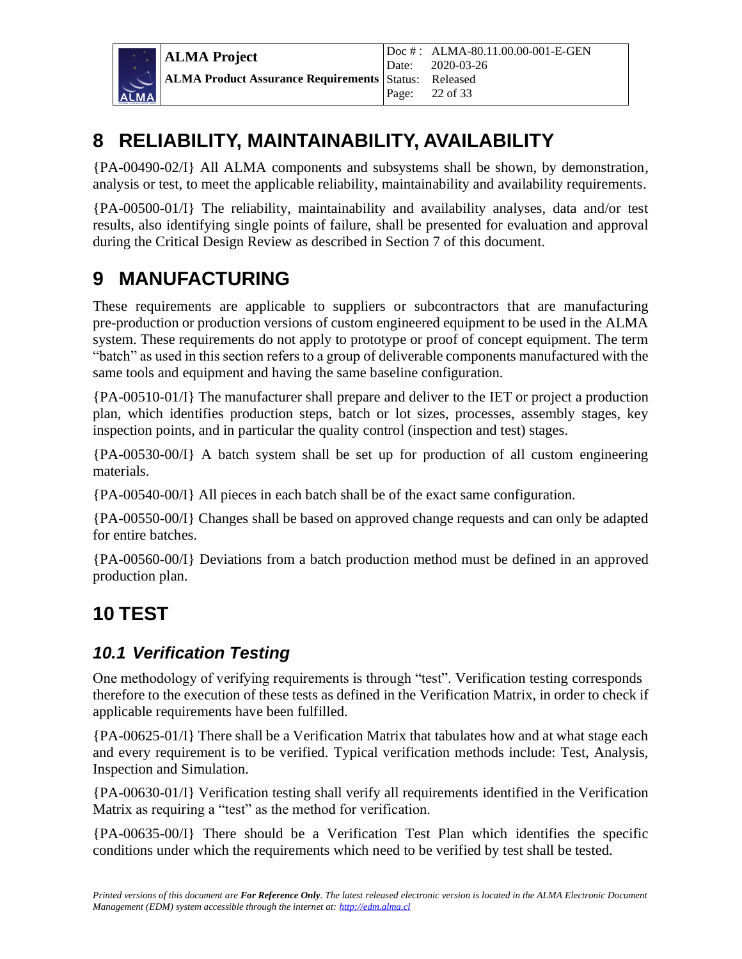

## <span id="page-21-0"></span>**8 RELIABILITY, MAINTAINABILITY, AVAILABILITY**

{PA-00490-02/I} All ALMA components and subsystems shall be shown, by demonstration, analysis or test, to meet the applicable reliability, maintainability and availability requirements.

{PA-00500-01/I} The reliability, maintainability and availability analyses, data and/or test results, also identifying single points of failure, shall be presented for evaluation and approval during the Critical Design Review as described in Section 7 of this document.

### <span id="page-21-1"></span>**9 MANUFACTURING**

These requirements are applicable to suppliers or subcontractors that are manufacturing pre-production or production versions of custom engineered equipment to be used in the ALMA system. These requirements do not apply to prototype or proof of concept equipment. The term "batch" as used in this section refers to a group of deliverable components manufactured with the same tools and equipment and having the same baseline configuration.

{PA-00510-01/I} The manufacturer shall prepare and deliver to the IET or project a production plan, which identifies production steps, batch or lot sizes, processes, assembly stages, key inspection points, and in particular the quality control (inspection and test) stages.

{PA-00530-00/I} A batch system shall be set up for production of all custom engineering materials.

{PA-00540-00/I} All pieces in each batch shall be of the exact same configuration.

{PA-00550-00/I} Changes shall be based on approved change requests and can only be adapted for entire batches.

{PA-00560-00/I} Deviations from a batch production method must be defined in an approved production plan.

### <span id="page-21-2"></span>**10 TEST**

### <span id="page-21-3"></span>*10.1 Verification Testing*

One methodology of verifying requirements is through "test". Verification testing corresponds therefore to the execution of these tests as defined in the Verification Matrix, in order to check if applicable requirements have been fulfilled.

{PA-00625-01/I} There shall be a Verification Matrix that tabulates how and at what stage each and every requirement is to be verified. Typical verification methods include: Test, Analysis, Inspection and Simulation.

{PA-00630-01/I} Verification testing shall verify all requirements identified in the Verification Matrix as requiring a "test" as the method for verification.

{PA-00635-00/I} There should be a Verification Test Plan which identifies the specific conditions under which the requirements which need to be verified by test shall be tested.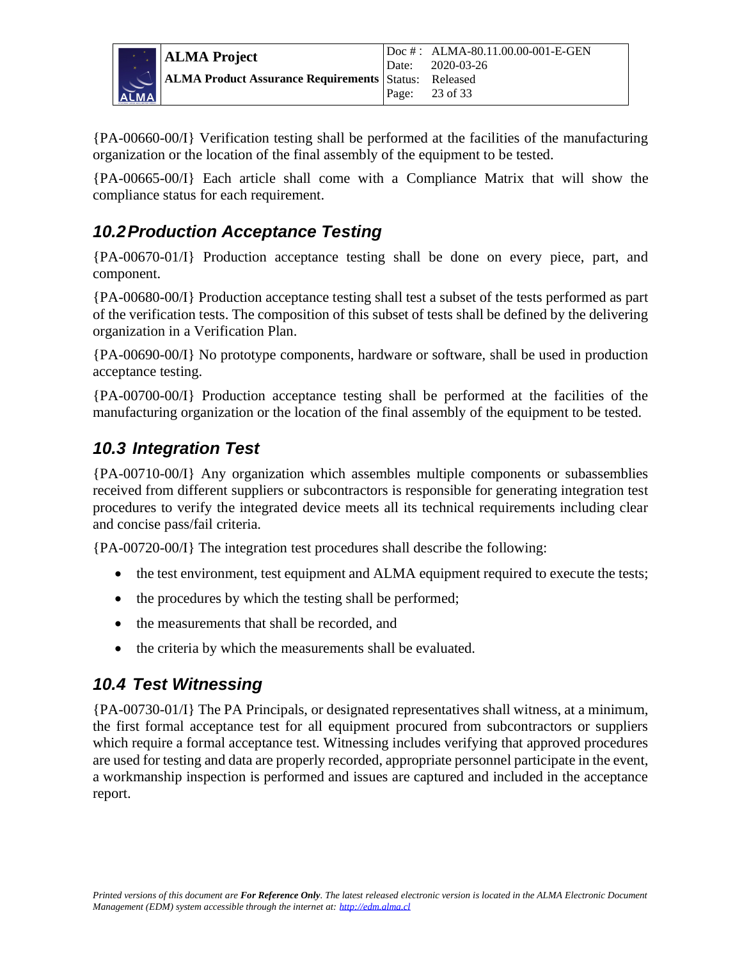

{PA-00660-00/I} Verification testing shall be performed at the facilities of the manufacturing organization or the location of the final assembly of the equipment to be tested.

{PA-00665-00/I} Each article shall come with a Compliance Matrix that will show the compliance status for each requirement.

### <span id="page-22-0"></span>*10.2Production Acceptance Testing*

{PA-00670-01/I} Production acceptance testing shall be done on every piece, part, and component.

{PA-00680-00/I} Production acceptance testing shall test a subset of the tests performed as part of the verification tests. The composition of this subset of tests shall be defined by the delivering organization in a Verification Plan.

{PA-00690-00/I} No prototype components, hardware or software, shall be used in production acceptance testing.

{PA-00700-00/I} Production acceptance testing shall be performed at the facilities of the manufacturing organization or the location of the final assembly of the equipment to be tested.

#### <span id="page-22-1"></span>*10.3 Integration Test*

{PA-00710-00/I} Any organization which assembles multiple components or subassemblies received from different suppliers or subcontractors is responsible for generating integration test procedures to verify the integrated device meets all its technical requirements including clear and concise pass/fail criteria.

{PA-00720-00/I} The integration test procedures shall describe the following:

- the test environment, test equipment and ALMA equipment required to execute the tests;
- the procedures by which the testing shall be performed;
- the measurements that shall be recorded, and
- <span id="page-22-2"></span>the criteria by which the measurements shall be evaluated.

#### *10.4 Test Witnessing*

{PA-00730-01/I} The PA Principals, or designated representatives shall witness, at a minimum, the first formal acceptance test for all equipment procured from subcontractors or suppliers which require a formal acceptance test. Witnessing includes verifying that approved procedures are used for testing and data are properly recorded, appropriate personnel participate in the event, a workmanship inspection is performed and issues are captured and included in the acceptance report.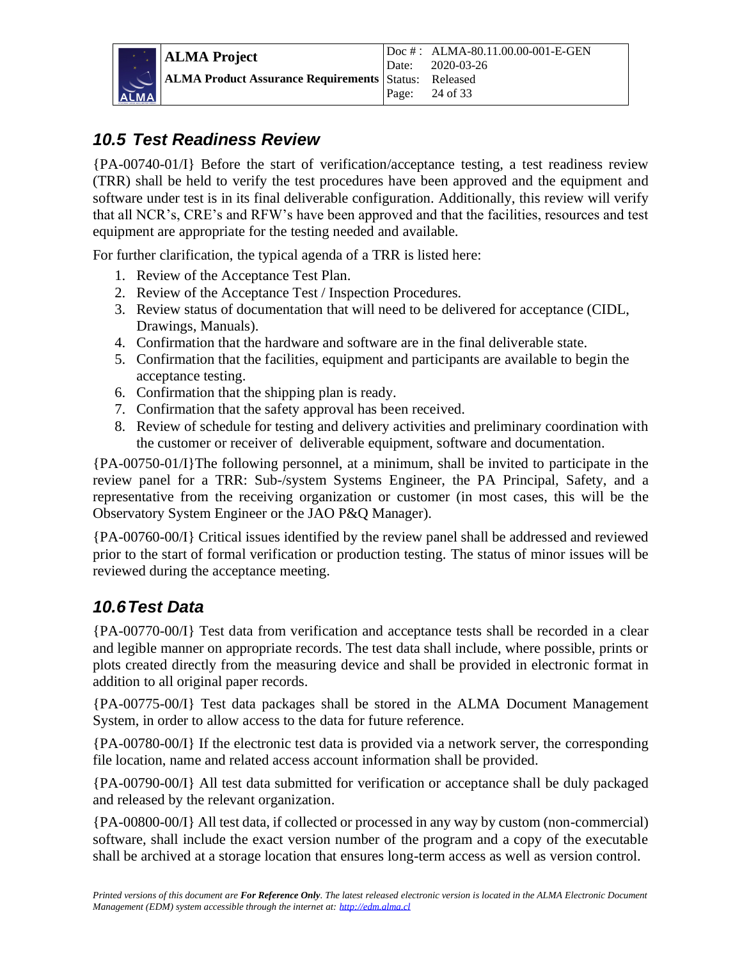### <span id="page-23-0"></span>*10.5 Test Readiness Review*

{PA-00740-01/I} Before the start of verification/acceptance testing, a test readiness review (TRR) shall be held to verify the test procedures have been approved and the equipment and software under test is in its final deliverable configuration. Additionally, this review will verify that all NCR's, CRE's and RFW's have been approved and that the facilities, resources and test equipment are appropriate for the testing needed and available.

For further clarification, the typical agenda of a TRR is listed here:

- 1. Review of the Acceptance Test Plan.
- 2. Review of the Acceptance Test / Inspection Procedures*.*
- 3. Review status of documentation that will need to be delivered for acceptance (CIDL, Drawings, Manuals).
- 4. Confirmation that the hardware and software are in the final deliverable state.
- 5. Confirmation that the facilities, equipment and participants are available to begin the acceptance testing.
- 6. Confirmation that the shipping plan is ready.
- 7. Confirmation that the safety approval has been received.
- 8. Review of schedule for testing and delivery activities and preliminary coordination with the customer or receiver of deliverable equipment, software and documentation.

{PA-00750-01/I}The following personnel, at a minimum, shall be invited to participate in the review panel for a TRR: Sub-/system Systems Engineer, the PA Principal, Safety, and a representative from the receiving organization or customer (in most cases, this will be the Observatory System Engineer or the JAO P&Q Manager).

{PA-00760-00/I} Critical issues identified by the review panel shall be addressed and reviewed prior to the start of formal verification or production testing. The status of minor issues will be reviewed during the acceptance meeting.

### <span id="page-23-1"></span>*10.6Test Data*

{PA-00770-00/I} Test data from verification and acceptance tests shall be recorded in a clear and legible manner on appropriate records. The test data shall include, where possible, prints or plots created directly from the measuring device and shall be provided in electronic format in addition to all original paper records.

{PA-00775-00/I} Test data packages shall be stored in the ALMA Document Management System, in order to allow access to the data for future reference.

{PA-00780-00/I} If the electronic test data is provided via a network server, the corresponding file location, name and related access account information shall be provided.

{PA-00790-00/I} All test data submitted for verification or acceptance shall be duly packaged and released by the relevant organization.

{PA-00800-00/I} All test data, if collected or processed in any way by custom (non-commercial) software, shall include the exact version number of the program and a copy of the executable shall be archived at a storage location that ensures long-term access as well as version control.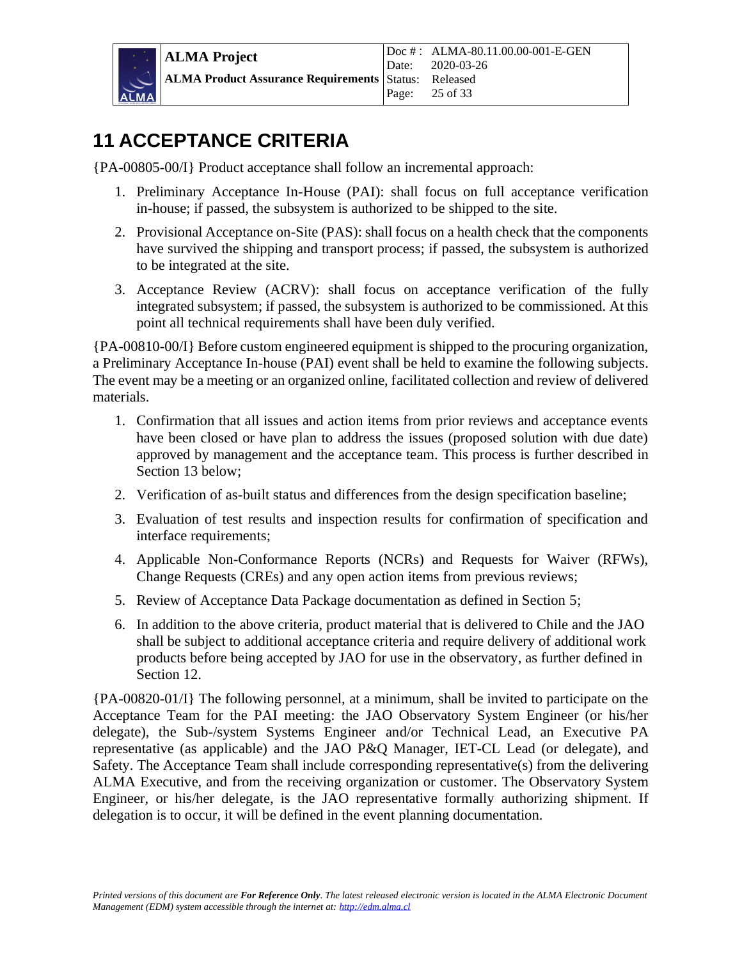

### <span id="page-24-0"></span>**11 ACCEPTANCE CRITERIA**

{PA-00805-00/I} Product acceptance shall follow an incremental approach:

- 1. Preliminary Acceptance In-House (PAI): shall focus on full acceptance verification in-house; if passed, the subsystem is authorized to be shipped to the site.
- 2. Provisional Acceptance on-Site (PAS): shall focus on a health check that the components have survived the shipping and transport process; if passed, the subsystem is authorized to be integrated at the site.
- 3. Acceptance Review (ACRV): shall focus on acceptance verification of the fully integrated subsystem; if passed, the subsystem is authorized to be commissioned. At this point all technical requirements shall have been duly verified.

{PA-00810-00/I} Before custom engineered equipment is shipped to the procuring organization, a Preliminary Acceptance In-house (PAI) event shall be held to examine the following subjects. The event may be a meeting or an organized online, facilitated collection and review of delivered materials.

- 1. Confirmation that all issues and action items from prior reviews and acceptance events have been closed or have plan to address the issues (proposed solution with due date) approved by management and the acceptance team. This process is further described in Section 13 below;
- 2. Verification of as-built status and differences from the design specification baseline;
- 3. Evaluation of test results and inspection results for confirmation of specification and interface requirements;
- 4. Applicable Non-Conformance Reports (NCRs) and Requests for Waiver (RFWs), Change Requests (CREs) and any open action items from previous reviews;
- 5. Review of Acceptance Data Package documentation as defined in Section 5;
- 6. In addition to the above criteria, product material that is delivered to Chile and the JAO shall be subject to additional acceptance criteria and require delivery of additional work products before being accepted by JAO for use in the observatory, as further defined in Section 12.

{PA-00820-01/I} The following personnel, at a minimum, shall be invited to participate on the Acceptance Team for the PAI meeting: the JAO Observatory System Engineer (or his/her delegate), the Sub-/system Systems Engineer and/or Technical Lead, an Executive PA representative (as applicable) and the JAO P&Q Manager, IET-CL Lead (or delegate), and Safety. The Acceptance Team shall include corresponding representative(s) from the delivering ALMA Executive, and from the receiving organization or customer. The Observatory System Engineer, or his/her delegate, is the JAO representative formally authorizing shipment. If delegation is to occur, it will be defined in the event planning documentation.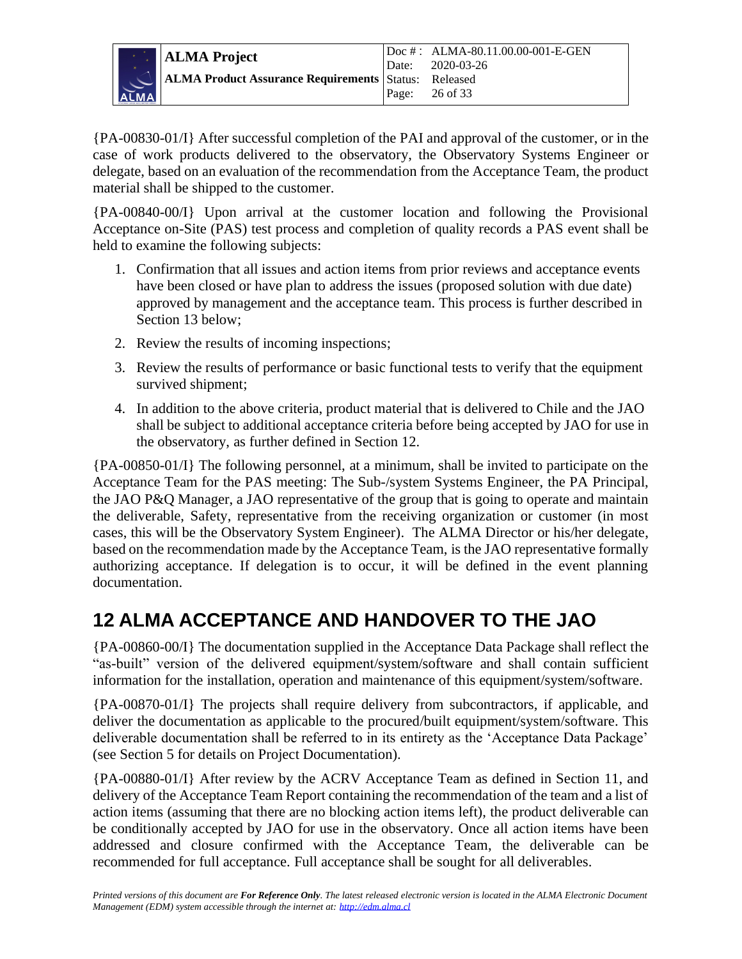

{PA-00830-01/I} After successful completion of the PAI and approval of the customer, or in the case of work products delivered to the observatory, the Observatory Systems Engineer or delegate, based on an evaluation of the recommendation from the Acceptance Team, the product material shall be shipped to the customer.

{PA-00840-00/I} Upon arrival at the customer location and following the Provisional Acceptance on-Site (PAS) test process and completion of quality records a PAS event shall be held to examine the following subjects:

- 1. Confirmation that all issues and action items from prior reviews and acceptance events have been closed or have plan to address the issues (proposed solution with due date) approved by management and the acceptance team. This process is further described in Section 13 below;
- 2. Review the results of incoming inspections;
- 3. Review the results of performance or basic functional tests to verify that the equipment survived shipment;
- 4. In addition to the above criteria, product material that is delivered to Chile and the JAO shall be subject to additional acceptance criteria before being accepted by JAO for use in the observatory, as further defined in Section 12.

{PA-00850-01/I} The following personnel, at a minimum, shall be invited to participate on the Acceptance Team for the PAS meeting: The Sub-/system Systems Engineer, the PA Principal, the JAO P&Q Manager, a JAO representative of the group that is going to operate and maintain the deliverable, Safety, representative from the receiving organization or customer (in most cases, this will be the Observatory System Engineer). The ALMA Director or his/her delegate, based on the recommendation made by the Acceptance Team, is the JAO representative formally authorizing acceptance. If delegation is to occur, it will be defined in the event planning documentation.

### <span id="page-25-0"></span>**12 ALMA ACCEPTANCE AND HANDOVER TO THE JAO**

{PA-00860-00/I} The documentation supplied in the Acceptance Data Package shall reflect the "as-built" version of the delivered equipment/system/software and shall contain sufficient information for the installation, operation and maintenance of this equipment/system/software.

{PA-00870-01/I} The projects shall require delivery from subcontractors, if applicable, and deliver the documentation as applicable to the procured/built equipment/system/software. This deliverable documentation shall be referred to in its entirety as the 'Acceptance Data Package' (see Section 5 for details on Project Documentation).

{PA-00880-01/I} After review by the ACRV Acceptance Team as defined in Section 11, and delivery of the Acceptance Team Report containing the recommendation of the team and a list of action items (assuming that there are no blocking action items left), the product deliverable can be conditionally accepted by JAO for use in the observatory. Once all action items have been addressed and closure confirmed with the Acceptance Team, the deliverable can be recommended for full acceptance. Full acceptance shall be sought for all deliverables.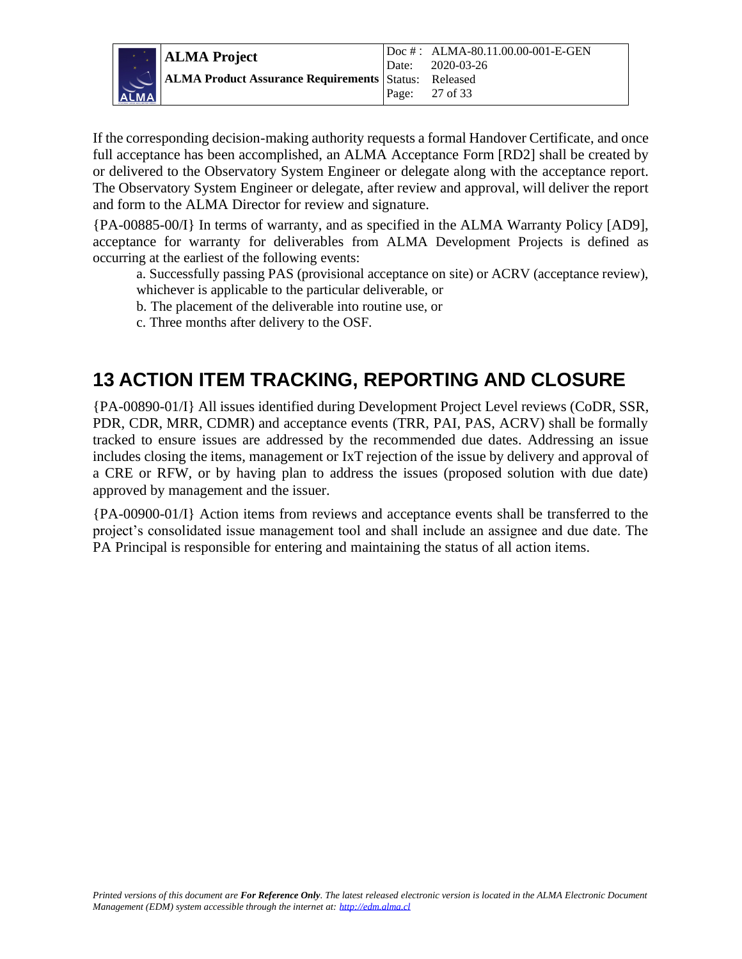

If the corresponding decision-making authority requests a formal Handover Certificate, and once full acceptance has been accomplished, an ALMA Acceptance Form [RD2] shall be created by or delivered to the Observatory System Engineer or delegate along with the acceptance report. The Observatory System Engineer or delegate, after review and approval, will deliver the report and form to the ALMA Director for review and signature.

{PA-00885-00/I} In terms of warranty, and as specified in the ALMA Warranty Policy [AD9], acceptance for warranty for deliverables from ALMA Development Projects is defined as occurring at the earliest of the following events:

a. Successfully passing PAS (provisional acceptance on site) or ACRV (acceptance review), whichever is applicable to the particular deliverable, or

b. The placement of the deliverable into routine use, or

c. Three months after delivery to the OSF.

### <span id="page-26-0"></span>**13 ACTION ITEM TRACKING, REPORTING AND CLOSURE**

{PA-00890-01/I} All issues identified during Development Project Level reviews (CoDR, SSR, PDR, CDR, MRR, CDMR) and acceptance events (TRR, PAI, PAS, ACRV) shall be formally tracked to ensure issues are addressed by the recommended due dates. Addressing an issue includes closing the items, management or IxT rejection of the issue by delivery and approval of a CRE or RFW, or by having plan to address the issues (proposed solution with due date) approved by management and the issuer.

{PA-00900-01/I} Action items from reviews and acceptance events shall be transferred to the project's consolidated issue management tool and shall include an assignee and due date. The PA Principal is responsible for entering and maintaining the status of all action items.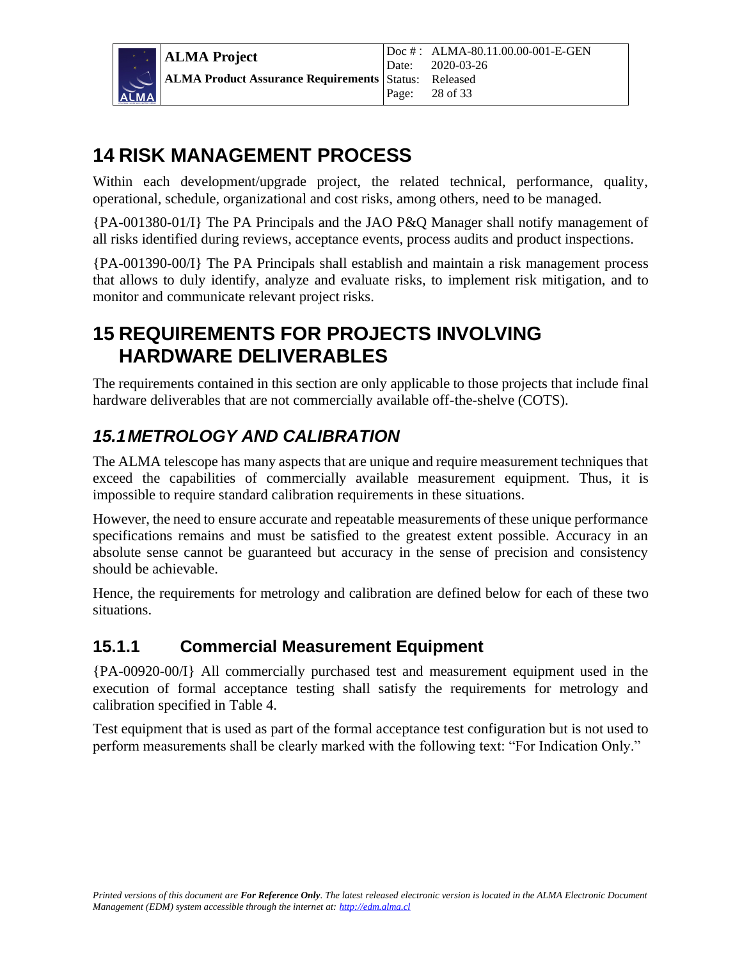

### <span id="page-27-0"></span>**14 RISK MANAGEMENT PROCESS**

Within each development/upgrade project, the related technical, performance, quality, operational, schedule, organizational and cost risks, among others, need to be managed.

{PA-001380-01/I} The PA Principals and the JAO P&Q Manager shall notify management of all risks identified during reviews, acceptance events, process audits and product inspections.

{PA-001390-00/I} The PA Principals shall establish and maintain a risk management process that allows to duly identify, analyze and evaluate risks, to implement risk mitigation, and to monitor and communicate relevant project risks.

### <span id="page-27-1"></span>**15 REQUIREMENTS FOR PROJECTS INVOLVING HARDWARE DELIVERABLES**

The requirements contained in this section are only applicable to those projects that include final hardware deliverables that are not commercially available off-the-shelve (COTS).

### <span id="page-27-2"></span>*15.1METROLOGY AND CALIBRATION*

The ALMA telescope has many aspects that are unique and require measurement techniques that exceed the capabilities of commercially available measurement equipment. Thus, it is impossible to require standard calibration requirements in these situations.

However, the need to ensure accurate and repeatable measurements of these unique performance specifications remains and must be satisfied to the greatest extent possible. Accuracy in an absolute sense cannot be guaranteed but accuracy in the sense of precision and consistency should be achievable.

Hence, the requirements for metrology and calibration are defined below for each of these two situations.

### <span id="page-27-3"></span>**15.1.1 Commercial Measurement Equipment**

{PA-00920-00/I} All commercially purchased test and measurement equipment used in the execution of formal acceptance testing shall satisfy the requirements for metrology and calibration specified in Table 4.

Test equipment that is used as part of the formal acceptance test configuration but is not used to perform measurements shall be clearly marked with the following text: "For Indication Only."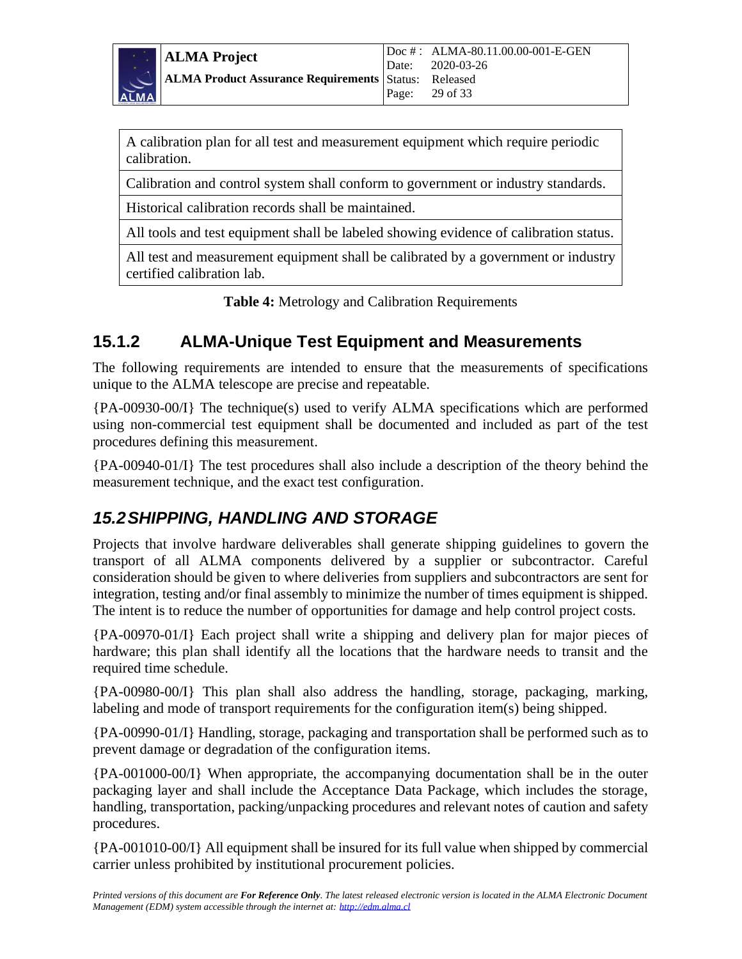

A calibration plan for all test and measurement equipment which require periodic calibration.

Calibration and control system shall conform to government or industry standards.

Historical calibration records shall be maintained.

All tools and test equipment shall be labeled showing evidence of calibration status.

All test and measurement equipment shall be calibrated by a government or industry certified calibration lab.

**Table 4:** Metrology and Calibration Requirements

#### <span id="page-28-0"></span>**15.1.2 ALMA-Unique Test Equipment and Measurements**

The following requirements are intended to ensure that the measurements of specifications unique to the ALMA telescope are precise and repeatable.

{PA-00930-00/I} The technique(s) used to verify ALMA specifications which are performed using non-commercial test equipment shall be documented and included as part of the test procedures defining this measurement.

{PA-00940-01/I} The test procedures shall also include a description of the theory behind the measurement technique, and the exact test configuration.

### <span id="page-28-1"></span>*15.2SHIPPING, HANDLING AND STORAGE*

Projects that involve hardware deliverables shall generate shipping guidelines to govern the transport of all ALMA components delivered by a supplier or subcontractor. Careful consideration should be given to where deliveries from suppliers and subcontractors are sent for integration, testing and/or final assembly to minimize the number of times equipment is shipped. The intent is to reduce the number of opportunities for damage and help control project costs.

{PA-00970-01/I} Each project shall write a shipping and delivery plan for major pieces of hardware; this plan shall identify all the locations that the hardware needs to transit and the required time schedule.

{PA-00980-00/I} This plan shall also address the handling, storage, packaging, marking, labeling and mode of transport requirements for the configuration item(s) being shipped.

{PA-00990-01/I} Handling, storage, packaging and transportation shall be performed such as to prevent damage or degradation of the configuration items.

{PA-001000-00/I} When appropriate, the accompanying documentation shall be in the outer packaging layer and shall include the Acceptance Data Package, which includes the storage, handling, transportation, packing/unpacking procedures and relevant notes of caution and safety procedures.

{PA-001010-00/I} All equipment shall be insured for its full value when shipped by commercial carrier unless prohibited by institutional procurement policies.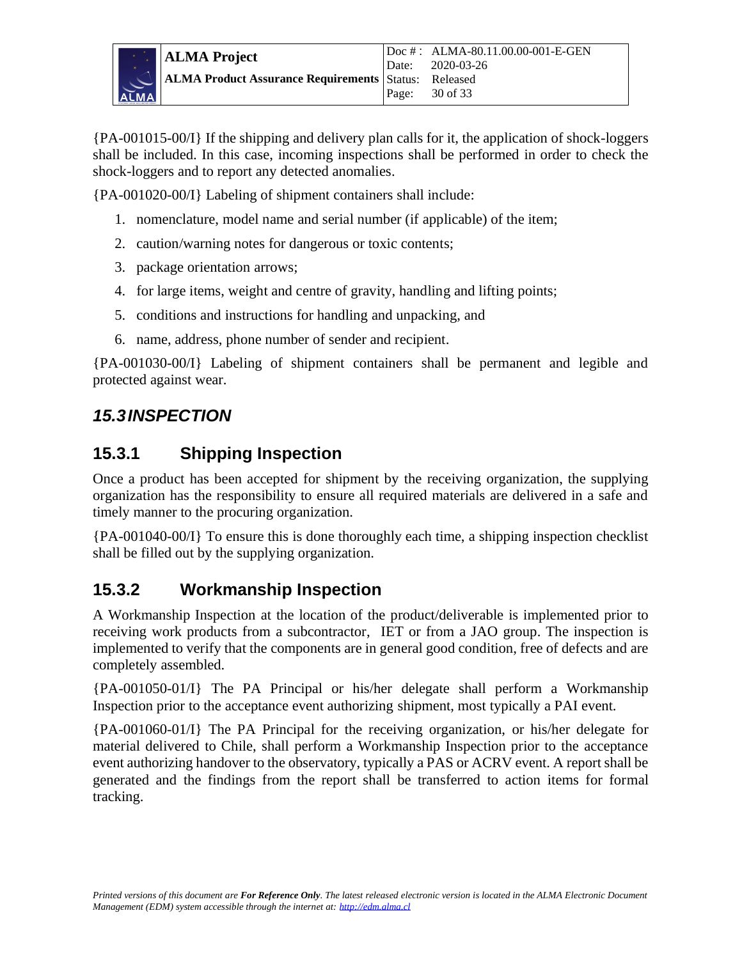

{PA-001015-00/I} If the shipping and delivery plan calls for it, the application of shock-loggers shall be included. In this case, incoming inspections shall be performed in order to check the shock-loggers and to report any detected anomalies.

{PA-001020-00/I} Labeling of shipment containers shall include:

- 1. nomenclature, model name and serial number (if applicable) of the item;
- 2. caution/warning notes for dangerous or toxic contents;
- 3. package orientation arrows;
- 4. for large items, weight and centre of gravity, handling and lifting points;
- 5. conditions and instructions for handling and unpacking, and
- 6. name, address, phone number of sender and recipient.

{PA-001030-00/I} Labeling of shipment containers shall be permanent and legible and protected against wear.

#### <span id="page-29-0"></span>*15.3INSPECTION*

#### <span id="page-29-1"></span>**15.3.1 Shipping Inspection**

Once a product has been accepted for shipment by the receiving organization, the supplying organization has the responsibility to ensure all required materials are delivered in a safe and timely manner to the procuring organization.

{PA-001040-00/I} To ensure this is done thoroughly each time, a shipping inspection checklist shall be filled out by the supplying organization.

### <span id="page-29-2"></span>**15.3.2 Workmanship Inspection**

A Workmanship Inspection at the location of the product/deliverable is implemented prior to receiving work products from a subcontractor, IET or from a JAO group. The inspection is implemented to verify that the components are in general good condition, free of defects and are completely assembled.

{PA-001050-01/I} The PA Principal or his/her delegate shall perform a Workmanship Inspection prior to the acceptance event authorizing shipment, most typically a PAI event.

{PA-001060-01/I} The PA Principal for the receiving organization, or his/her delegate for material delivered to Chile, shall perform a Workmanship Inspection prior to the acceptance event authorizing handover to the observatory, typically a PAS or ACRV event. A report shall be generated and the findings from the report shall be transferred to action items for formal tracking.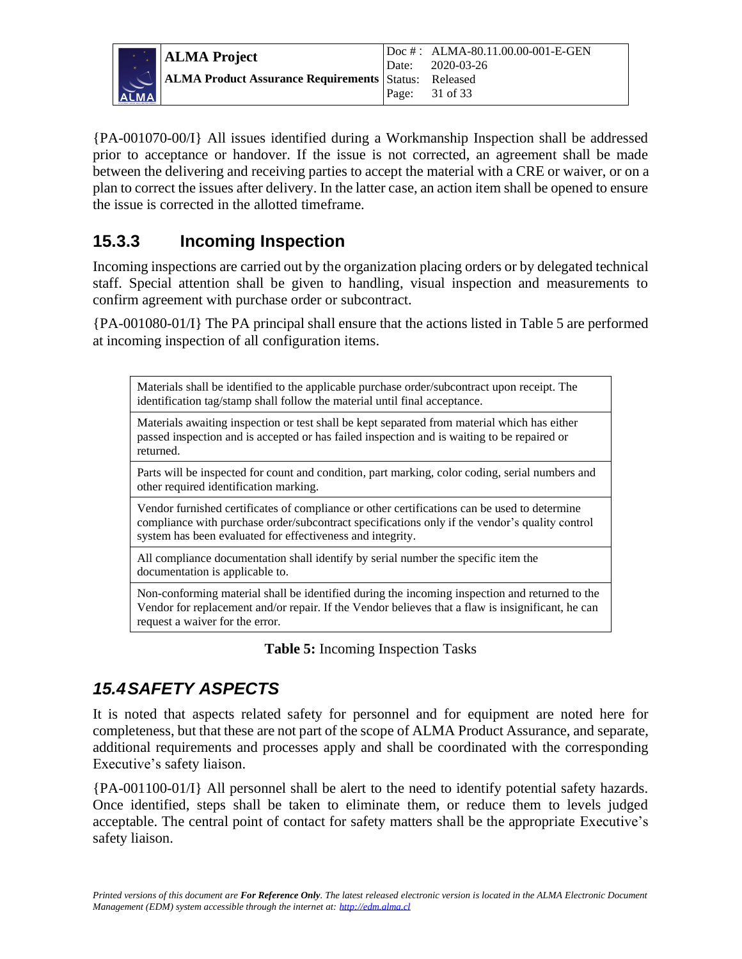

{PA-001070-00/I} All issues identified during a Workmanship Inspection shall be addressed prior to acceptance or handover. If the issue is not corrected, an agreement shall be made between the delivering and receiving parties to accept the material with a CRE or waiver, or on a plan to correct the issues after delivery. In the latter case, an action item shall be opened to ensure the issue is corrected in the allotted timeframe.

### <span id="page-30-0"></span>**15.3.3 Incoming Inspection**

Incoming inspections are carried out by the organization placing orders or by delegated technical staff. Special attention shall be given to handling, visual inspection and measurements to confirm agreement with purchase order or subcontract.

{PA-001080-01/I} The PA principal shall ensure that the actions listed in Table 5 are performed at incoming inspection of all configuration items.

Materials shall be identified to the applicable purchase order/subcontract upon receipt. The identification tag/stamp shall follow the material until final acceptance.

Materials awaiting inspection or test shall be kept separated from material which has either passed inspection and is accepted or has failed inspection and is waiting to be repaired or returned.

Parts will be inspected for count and condition, part marking, color coding, serial numbers and other required identification marking.

Vendor furnished certificates of compliance or other certifications can be used to determine compliance with purchase order/subcontract specifications only if the vendor's quality control system has been evaluated for effectiveness and integrity.

All compliance documentation shall identify by serial number the specific item the documentation is applicable to.

Non-conforming material shall be identified during the incoming inspection and returned to the Vendor for replacement and/or repair. If the Vendor believes that a flaw is insignificant, he can request a waiver for the error.

#### **Table 5:** Incoming Inspection Tasks

### <span id="page-30-1"></span>*15.4SAFETY ASPECTS*

It is noted that aspects related safety for personnel and for equipment are noted here for completeness, but that these are not part of the scope of ALMA Product Assurance, and separate, additional requirements and processes apply and shall be coordinated with the corresponding Executive's safety liaison.

{PA-001100-01/I} All personnel shall be alert to the need to identify potential safety hazards. Once identified, steps shall be taken to eliminate them, or reduce them to levels judged acceptable. The central point of contact for safety matters shall be the appropriate Executive's safety liaison.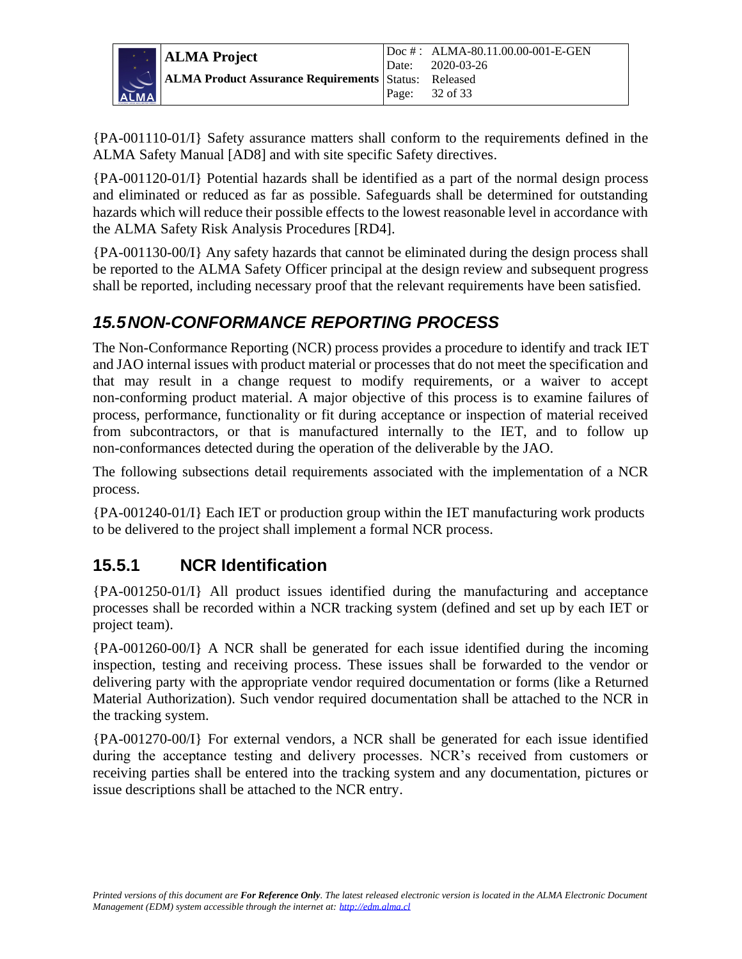

{PA-001110-01/I} Safety assurance matters shall conform to the requirements defined in the ALMA Safety Manual [AD8] and with site specific Safety directives.

{PA-001120-01/I} Potential hazards shall be identified as a part of the normal design process and eliminated or reduced as far as possible. Safeguards shall be determined for outstanding hazards which will reduce their possible effects to the lowest reasonable level in accordance with the ALMA Safety Risk Analysis Procedures [RD4].

{PA-001130-00/I} Any safety hazards that cannot be eliminated during the design process shall be reported to the ALMA Safety Officer principal at the design review and subsequent progress shall be reported, including necessary proof that the relevant requirements have been satisfied.

#### <span id="page-31-0"></span>*15.5NON-CONFORMANCE REPORTING PROCESS*

The Non-Conformance Reporting (NCR) process provides a procedure to identify and track IET and JAO internal issues with product material or processes that do not meet the specification and that may result in a change request to modify requirements, or a waiver to accept non-conforming product material. A major objective of this process is to examine failures of process, performance, functionality or fit during acceptance or inspection of material received from subcontractors, or that is manufactured internally to the IET, and to follow up non-conformances detected during the operation of the deliverable by the JAO.

The following subsections detail requirements associated with the implementation of a NCR process.

{PA-001240-01/I} Each IET or production group within the IET manufacturing work products to be delivered to the project shall implement a formal NCR process.

### <span id="page-31-1"></span>**15.5.1 NCR Identification**

{PA-001250-01/I} All product issues identified during the manufacturing and acceptance processes shall be recorded within a NCR tracking system (defined and set up by each IET or project team).

{PA-001260-00/I} A NCR shall be generated for each issue identified during the incoming inspection, testing and receiving process. These issues shall be forwarded to the vendor or delivering party with the appropriate vendor required documentation or forms (like a Returned Material Authorization). Such vendor required documentation shall be attached to the NCR in the tracking system.

{PA-001270-00/I} For external vendors, a NCR shall be generated for each issue identified during the acceptance testing and delivery processes. NCR's received from customers or receiving parties shall be entered into the tracking system and any documentation, pictures or issue descriptions shall be attached to the NCR entry.